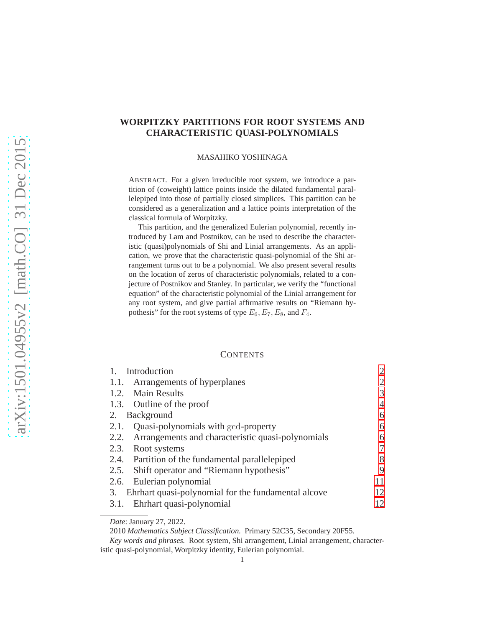# **WORPITZKY PARTITIONS FOR ROOT SYSTEMS AND CHARACTERISTIC QUASI-POLYNOMIALS**

MASAHIKO YOSHINAGA

ABSTRACT. For a given irreducible root system, we introduce a partition of (coweight) lattice points inside the dilated fundamental parallelepiped into those of partially closed simplices. This partition can be considered as a generalization and a lattice points interpretation of the classical formula of Worpitzky.

This partition, and the generalized Eulerian polynomial, recently introduced by Lam and Postnikov, can be used to describe the characteristic (quasi)polynomials of Shi and Linial arrangements. As an application, we prove that the characteristic quasi-polynomial of the Shi arrangement turns out to be a polynomial. We also present several results on the location of zeros of characteristic polynomials, related to a conjecture of Postnikov and Stanley. In particular, we verify the "functional equation" of the characteristic polynomial of the Linial arrangement for any root system, and give partial affirmative results on "Riemann hypothesis" for the root systems of type  $E_6$ ,  $E_7$ ,  $E_8$ , and  $F_4$ .

### **CONTENTS**

| Introduction                                              | $\overline{2}$ |
|-----------------------------------------------------------|----------------|
| 1.1. Arrangements of hyperplanes                          | $\overline{2}$ |
| 1.2. Main Results                                         | 3              |
| 1.3. Outline of the proof                                 | 4              |
| 2. Background                                             | 6              |
| Quasi-polynomials with gcd-property<br>2.1.               | 6              |
| 2.2. Arrangements and characteristic quasi-polynomials    | 6              |
| 2.3. Root systems                                         | 7              |
| 2.4. Partition of the fundamental parallelepiped          | 8              |
| 2.5. Shift operator and "Riemann hypothesis"              | 9              |
| 2.6. Eulerian polynomial                                  | 11             |
| Ehrhart quasi-polynomial for the fundamental alcove<br>3. | 12             |
| Ehrhart quasi-polynomial<br>3.1.                          | 12             |
|                                                           |                |

*Date*: January 27, 2022.

<sup>2010</sup> *Mathematics Subject Classification.* Primary 52C35, Secondary 20F55.

*Key words and phrases.* Root system, Shi arrangement, Linial arrangement, characteristic quasi-polynomial, Worpitzky identity, Eulerian polynomial.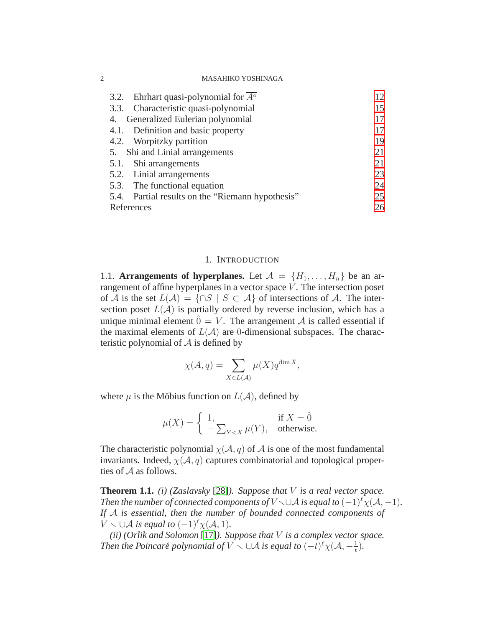| 3.2. Ehrhart quasi-polynomial for $A^{\circ}$    | 12 |
|--------------------------------------------------|----|
| 3.3. Characteristic quasi-polynomial             | 15 |
| 4. Generalized Eulerian polynomial               |    |
| 4.1. Definition and basic property               | 17 |
| 4.2. Worpitzky partition                         | 19 |
| 5. Shi and Linial arrangements                   | 21 |
| 5.1. Shi arrangements                            | 21 |
| 5.2. Linial arrangements                         | 23 |
| 5.3. The functional equation                     | 24 |
| 5.4. Partial results on the "Riemann hypothesis" | 25 |
| References                                       | 26 |

## 1. INTRODUCTION

<span id="page-1-1"></span><span id="page-1-0"></span>1.1. **Arrangements of hyperplanes.** Let  $A = \{H_1, \ldots, H_n\}$  be an arrangement of affine hyperplanes in a vector space  $V$ . The intersection poset of A is the set  $L(\mathcal{A}) = \{ \cap S \mid S \subset \mathcal{A} \}$  of intersections of A. The intersection poset  $L(\mathcal{A})$  is partially ordered by reverse inclusion, which has a unique minimal element  $\hat{0} = V$ . The arrangement A is called essential if the maximal elements of  $L(\mathcal{A})$  are 0-dimensional subspaces. The characteristic polynomial of  $A$  is defined by

$$
\chi(A,q) = \sum_{X \in L(\mathcal{A})} \mu(X) q^{\dim X},
$$

where  $\mu$  is the Möbius function on  $L(A)$ , defined by

$$
\mu(X) = \begin{cases} 1, & \text{if } X = \hat{0} \\ -\sum_{Y < X} \mu(Y), & \text{otherwise.} \end{cases}
$$

The characteristic polynomial  $\chi(A, q)$  of A is one of the most fundamental invariants. Indeed,  $\chi(\mathcal{A}, q)$  captures combinatorial and topological properties of A as follows.

**Theorem 1.1.** *(i) (Zaslavsky* [\[28\]](#page-27-0)*). Suppose that* V *is a real vector space. Then the number of connected components of*  $V \cup A$  *is equal to*  $(-1)^{\ell} \chi(A, -1)$ *. If* A *is essential, then the number of bounded connected components of*  $V \setminus \cup A$  *is equal to*  $(-1)^{\ell} \chi(A, 1)$ *.* 

*(ii) (Orlik and Solomon* [\[17\]](#page-26-0)*). Suppose that* V *is a complex vector space. Then the Poincaré polynomial of*  $V \setminus \cup A$  *is equal to*  $(-t)^{\ell} \chi(A, -\frac{1}{t})$  $(\frac{1}{t})$ .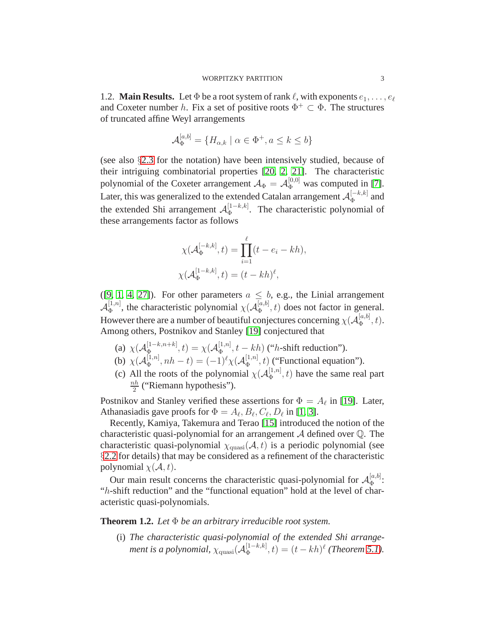<span id="page-2-0"></span>1.2. **Main Results.** Let  $\Phi$  be a root system of rank  $\ell$ , with exponents  $e_1, \ldots, e_\ell$ and Coxeter number h. Fix a set of positive roots  $\Phi^+ \subset \Phi$ . The structures of truncated affine Weyl arrangements

$$
\mathcal{A}_{\Phi}^{[a,b]} = \{H_{\alpha,k} \mid \alpha \in \Phi^+, a \le k \le b\}
$$

(see also §[2.3](#page-6-0) for the notation) have been intensively studied, because of their intriguing combinatorial properties [\[20,](#page-26-1) [2,](#page-25-1) [21\]](#page-26-2). The characteristic polynomial of the Coxeter arrangement  $A_{\Phi} = A_{\Phi}^{[0,0]}$  was computed in [\[7\]](#page-26-3). Later, this was generalized to the extended Catalan arrangement  ${\cal A}_{\Phi}^{[-k,k]}$  $\Phi^{[-\kappa,\kappa]}$  and the extended Shi arrangement  $\mathcal{A}_{\Phi}^{[1-k,k]}$  $\Phi_{\Phi}^{[1-\kappa,\kappa]}$ . The characteristic polynomial of these arrangements factor as follows

$$
\chi(\mathcal{A}_{\Phi}^{[-k,k]},t) = \prod_{i=1}^{\ell} (t - e_i - kh),
$$
  

$$
\chi(\mathcal{A}_{\Phi}^{[1-k,k]},t) = (t - kh)^{\ell},
$$

([\[9,](#page-26-4) [1,](#page-25-2) [4,](#page-25-3) [27\]](#page-27-1)). For other parameters  $a \leq b$ , e.g., the Linial arrangement  $\mathcal{A}_\Phi^{[1,n]}$  $\mathbb{E}_{\Phi}^{[1,n]}$ , the characteristic polynomial  $\chi(\mathcal{A}_{\Phi}^{[a,b]}$  $\phi_{\Phi}^{[a,0]}$ , t) does not factor in general. However there are a number of beautiful conjectures concerning  $\chi(\mathcal{A}_\Phi^{[a,b]}$  $\mathcal{L}_{\Phi}^{[a,0]}$ , t). Among others, Postnikov and Stanley [\[19\]](#page-26-5) conjectured that

- (a)  $\chi(\mathcal{A}_{\Phi}^{[1-k,n+k]})$  $[\frac{[1-k,n+k]}{\Phi},t)=\chi(\mathcal{A}^{[1,n]}_\Phi)$  $\Phi_{\Phi}^{[1,n]}$ ,  $t - kh$ ) ("*h*-shift reduction").
- (b)  $\chi(\mathcal{A}_{\Phi}^{[1,n]})$  $\phi_{\Phi}^{[1,n]}, nh - t) = (-1)^{\ell} \chi(\mathcal{A}_{\Phi}^{[1,n]})$  $\left(\frac{[1,n]}{\Phi}, t\right)$  ("Functional equation").
- (c) All the roots of the polynomial  $\chi(A_{\Phi}^{[1,n]})$  $\left( \frac{1}{\Phi}, n \right)$  have the same real part  $nh$  $\frac{2}{2}$  ("Riemann hypothesis").

Postnikov and Stanley verified these assertions for  $\Phi = A_{\ell}$  in [\[19\]](#page-26-5). Later, Athanasiadis gave proofs for  $\Phi = A_{\ell}, B_{\ell}, C_{\ell}, D_{\ell}$  in [\[1,](#page-25-2) [3\]](#page-25-4).

Recently, Kamiya, Takemura and Terao [\[15\]](#page-26-6) introduced the notion of the characteristic quasi-polynomial for an arrangement  $A$  defined over  $\mathbb Q$ . The characteristic quasi-polynomial  $\chi_{\text{quasi}}(\mathcal{A}, t)$  is a periodic polynomial (see §[2.2](#page-5-2) for details) that may be considered as a refinement of the characteristic polynomial  $\chi(A, t)$ .

Our main result concerns the characteristic quasi-polynomial for  $\mathcal{A}_{\Phi}^{[a,b]}$  $\stackrel{[a,0]}{\Phi}$ : "h-shift reduction" and the "functional equation" hold at the level of characteristic quasi-polynomials.

**Theorem 1.2.** *Let* Φ *be an arbitrary irreducible root system.*

(i) *The characteristic quasi-polynomial of the extended Shi arrangement is a polynomial, χ*<sub>quasi</sub>( $\mathcal{A}_{\Phi}^{[1-k,k]}$  $_{\Phi}^{[1-k,k]}(t) = (t - kh)^{\ell}$  *(Theorem [5.1\)](#page-20-2).*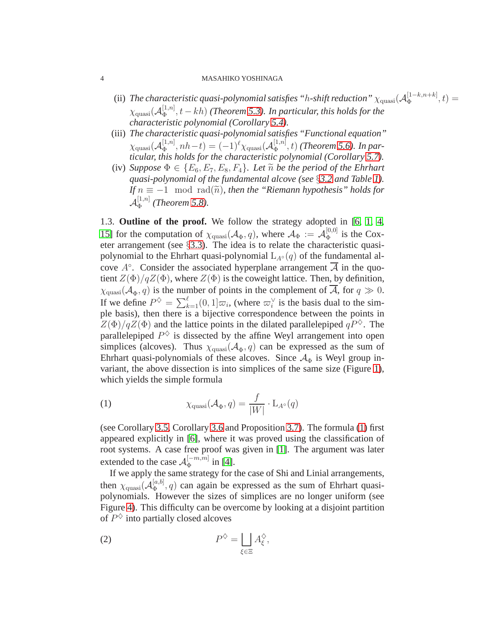- (ii) The characteristic quasi-polynomial satisfies "h-shift reduction"  $\chi_{\rm quasi}({\cal A}_\Phi^{[1-k,n+k]})$  $\Phi_{\Phi}^{[1-\kappa,n+\kappa]},t) =$  $\chi_{\rm quasi}({\cal A}_{\Phi}^{[1,n]}$ Φ , t − kh) *(Theorem [5.3\)](#page-22-1). In particular, this holds for the characteristic polynomial (Corollary [5.4\)](#page-23-1).*
- (iii) *The characteristic quasi-polynomial satisfies "Functional equation"*  $\chi_{\rm quasi}(\mathcal{A}_\Phi^{[1,n]}$  $\mathcal{A}_{\Phi}^{[1,n]}, nh-t) = (-1)^{\ell} \chi_{\text{quasi}}(\mathcal{A}_{\Phi}^{[1,n]}).$  $(\frac{[1,n]}{\Phi},t)$  *(Theorem [5.6\)](#page-23-2). In particular, this holds for the characteristic polynomial (Corollary [5.7\)](#page-24-1).*
- (iv) *Suppose*  $\Phi \in \{E_6, E_7, E_8, F_4\}$ *. Let*  $\tilde{n}$  *be the period of the Ehrhart quasi-polynomial of the fundamental alcove (see* §*[3.2](#page-11-2) and Table [1\)](#page-12-0). If*  $n \equiv -1 \mod \text{rad}(\tilde{n})$ *, then the "Riemann hypothesis" holds for*  $\mathcal{A}_\Phi^{[1,n]}$  $_{\Phi}^{[1,n]}$  (*Theorem* [5.8\)](#page-24-2)*.*

<span id="page-3-0"></span>1.3. **Outline of the proof.** We follow the strategy adopted in [\[6,](#page-26-7) [1,](#page-25-2) [4,](#page-25-3) [15\]](#page-26-6) for the computation of  $\chi_{\text{quasi}}(\mathcal{A}_{\Phi}, q)$ , where  $\mathcal{A}_{\Phi} := \mathcal{A}_{\Phi}^{[0,0]}$  $\Phi_{\Phi}^{[0,0]}$  is the Coxeter arrangement (see §[3.3\)](#page-14-0). The idea is to relate the characteristic quasipolynomial to the Ehrhart quasi-polynomial  $L_{A^{\circ}}(q)$  of the fundamental alcove  $A^{\circ}$ . Consider the associated hyperplane arrangement  $\overline{A}$  in the quotient  $Z(\Phi)/qZ(\Phi)$ , where  $Z(\Phi)$  is the coweight lattice. Then, by definition,  $\chi_{\text{quasi}}(\mathcal{A}_{\Phi}, q)$  is the number of points in the complement of A, for  $q \gg 0$ . If we define  $P^{\diamondsuit} = \sum_{k=1}^{\ell} (0, 1] \varpi_i$ , (where  $\varpi_i^{\vee}$  is the basis dual to the simple basis), then there is a bijective correspondence between the points in  $Z(\Phi)/qZ(\Phi)$  and the lattice points in the dilated parallelepiped  $qP^{\diamond}$ . The parallelepiped  $P^{\diamondsuit}$  is dissected by the affine Weyl arrangement into open simplices (alcoves). Thus  $\chi_{\text{quasi}}(\mathcal{A}_{\Phi}, q)$  can be expressed as the sum of Ehrhart quasi-polynomials of these alcoves. Since  $A_{\Phi}$  is Weyl group invariant, the above dissection is into simplices of the same size (Figure [1\)](#page-15-0), which yields the simple formula

<span id="page-3-1"></span>(1) 
$$
\chi_{\text{quasi}}(\mathcal{A}_{\Phi}, q) = \frac{f}{|W|} \cdot \mathcal{L}_{A^{\circ}}(q)
$$

(see Corollary [3.5,](#page-14-1) Corollary [3.6](#page-14-2) and Proposition [3.7\)](#page-15-1). The formula [\(1\)](#page-3-1) first appeared explicitly in [\[6\]](#page-26-7), where it was proved using the classification of root systems. A case free proof was given in [\[1\]](#page-25-2). The argument was later extended to the case  ${\cal A}_{\Phi}^{[-m,m]}$  $_{\Phi}^{[-m,m]}$  in [\[4\]](#page-25-3).

If we apply the same strategy for the case of Shi and Linial arrangements, then  $\chi_{\rm quasi}({\cal A}_\Phi^{[a,b]}$  $\left(\frac{a}{\Phi}, q\right)$  can again be expressed as the sum of Ehrhart quasipolynomials. However the sizes of simplices are no longer uniform (see Figure [4\)](#page-21-0). This difficulty can be overcome by looking at a disjoint partition of  $P^{\diamondsuit}$  into partially closed alcoves

$$
(2) \tP^{\diamondsuit} = \bigsqcup_{\xi \in \Xi} A_{\xi}^{\diamondsuit},
$$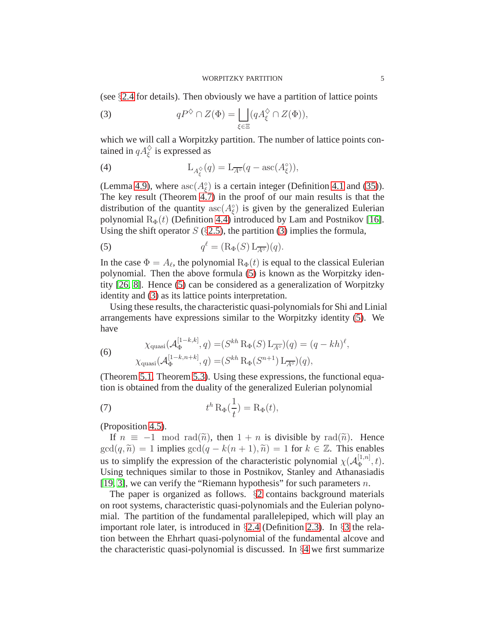(see §[2.4](#page-7-0) for details). Then obviously we have a partition of lattice points

<span id="page-4-0"></span>(3) 
$$
qP^{\diamondsuit} \cap Z(\Phi) = \bigsqcup_{\xi \in \Xi} (qA_{\xi}^{\diamondsuit} \cap Z(\Phi)),
$$

which we will call a Worpitzky partition. The number of lattice points contained in  $qA_{\xi}^{\diamondsuit}$  is expressed as

(4) 
$$
L_{A_{\xi}^{\diamondsuit}}(q) = L_{\overline{A^{\circ}}}(q - \mathrm{asc}(A_{\xi}^{\diamondsuit})),
$$

(Lemma [4.9\)](#page-18-1), where  $asc(A_{\xi}^{\circ})$  is a certain integer (Definition [4.1](#page-16-2) and [\(35\)](#page-17-0)). The key result (Theorem [4.7\)](#page-17-1) in the proof of our main results is that the distribution of the quantity  $asc(A_{\xi}^{\circ})$  is given by the generalized Eulerian polynomial  $R_{\Phi}(t)$  (Definition [4.4\)](#page-17-2) introduced by Lam and Postnikov [\[16\]](#page-26-8). Using the shift operator  $S$  (§[2.5\)](#page-8-0), the partition [\(3\)](#page-4-0) implies the formula,

<span id="page-4-1"></span>(5) 
$$
q^{\ell} = (\mathcal{R}_{\Phi}(S) \mathcal{L}_{\overline{A^{\circ}}})(q).
$$

In the case  $\Phi = A_{\ell}$ , the polynomial  $R_{\Phi}(t)$  is equal to the classical Eulerian polynomial. Then the above formula [\(5\)](#page-4-1) is known as the Worpitzky identity [\[26,](#page-26-9) [8\]](#page-26-10). Hence [\(5\)](#page-4-1) can be considered as a generalization of Worpitzky identity and [\(3\)](#page-4-0) as its lattice points interpretation.

Using these results, the characteristic quasi-polynomials for Shi and Linial arrangements have expressions similar to the Worpitzky identity [\(5\)](#page-4-1). We have

(6) 
$$
\chi_{\text{quasi}}(\mathcal{A}_{\Phi}^{[1-k,k]}, q) = (S^{kh} \, \text{R}_{\Phi}(S) \, \text{L}_{\overline{A^{\circ}}})(q) = (q - kh)^{\ell}, \chi_{\text{quasi}}(\mathcal{A}_{\Phi}^{[1-k,n+k]}, q) = (S^{kh} \, \text{R}_{\Phi}(S^{n+1}) \, \text{L}_{\overline{A^{\circ}}})(q),
$$

(Theorem [5.1,](#page-20-2) Theorem [5.3\)](#page-22-1). Using these expressions, the functional equation is obtained from the duality of the generalized Eulerian polynomial

(7) 
$$
t^h \operatorname{R}_{\Phi}(\frac{1}{t}) = \operatorname{R}_{\Phi}(t),
$$

(Proposition 4.5).

If  $n \equiv -1 \mod \text{rad}(\tilde{n})$ , then  $1 + n$  is divisible by  $\text{rad}(\tilde{n})$ . Hence  $gcd(q, \tilde{n}) = 1$  implies  $gcd(q - k(n + 1), \tilde{n}) = 1$  for  $k \in \mathbb{Z}$ . This enables us to simplify the expression of the characteristic polynomial  $\chi(A_{\Phi}^{[1,n]}$  $\Phi^{[1,n]},t).$ Using techniques similar to those in Postnikov, Stanley and Athanasiadis [\[19,](#page-26-5) [3\]](#page-25-4), we can verify the "Riemann hypothesis" for such parameters  $n$ .

The paper is organized as follows. §[2](#page-5-0) contains background materials on root systems, characteristic quasi-polynomials and the Eulerian polynomial. The partition of the fundamental parallelepiped, which will play an important role later, is introduced in §[2.4](#page-7-0) (Definition [2.3\)](#page-7-1). In §[3](#page-11-0) the relation between the Ehrhart quasi-polynomial of the fundamental alcove and the characteristic quasi-polynomial is discussed. In §[4](#page-16-0) we first summarize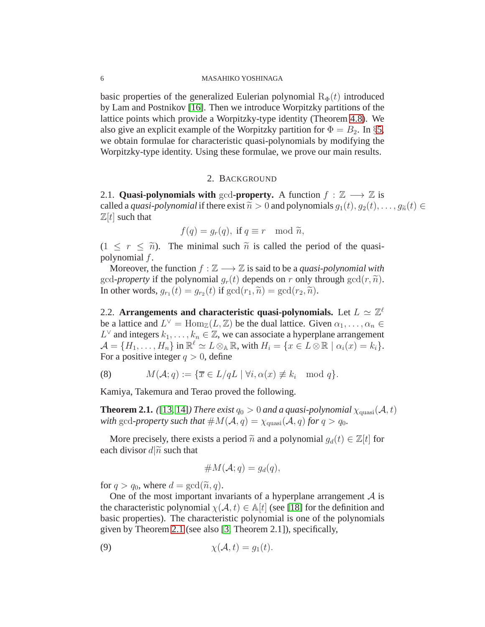basic properties of the generalized Eulerian polynomial  $R_{\Phi}(t)$  introduced by Lam and Postnikov [\[16\]](#page-26-8). Then we introduce Worpitzky partitions of the lattice points which provide a Worpitzky-type identity (Theorem [4.8\)](#page-18-2). We also give an explicit example of the Worpitzky partition for  $\Phi = B_2$ . In §[5,](#page-20-0) we obtain formulae for characteristic quasi-polynomials by modifying the Worpitzky-type identity. Using these formulae, we prove our main results.

# 2. BACKGROUND

<span id="page-5-1"></span><span id="page-5-0"></span>2.1. **Quasi-polynomials with** gcd-**property.** A function  $f : \mathbb{Z} \longrightarrow \mathbb{Z}$  is called a *quasi-polynomial* if there exist  $\tilde{n} > 0$  and polynomials  $g_1(t), g_2(t), \ldots, g_{\tilde{n}}(t) \in$  $\mathbb{Z}[t]$  such that

$$
f(q) = g_r(q), \text{ if } q \equiv r \mod \tilde{n},
$$

 $(1 \leq r \leq \tilde{n})$ . The minimal such  $\tilde{n}$  is called the period of the quasipolynomial f.

Moreover, the function  $f : \mathbb{Z} \longrightarrow \mathbb{Z}$  is said to be a *quasi-polynomial with* gcd-*property* if the polynomial  $g_r(t)$  depends on r only through  $gcd(r, \tilde{n})$ . In other words,  $g_{r_1}(t) = g_{r_2}(t)$  if  $gcd(r_1, \widetilde{n}) = gcd(r_2, \widetilde{n}).$ 

<span id="page-5-2"></span>2.2. Arrangements and characteristic quasi-polynomials. Let  $L \simeq \mathbb{Z}^{\ell}$ be a lattice and  $L^{\vee} = \text{Hom}_{\mathbb{Z}}(L, \mathbb{Z})$  be the dual lattice. Given  $\alpha_1, \dots, \alpha_n \in$  $L^{\vee}$  and integers  $k_1, \ldots, k_n \in \mathbb{Z}$ , we can associate a hyperplane arrangement  $\mathcal{A} = \{H_1, \ldots, H_n\}$  in  $\mathbb{R}^{\ell} \simeq L \otimes_{\mathbb{A}} \mathbb{R}$ , with  $H_i = \{x \in L \otimes \mathbb{R} \mid \alpha_i(x) = k_i\}.$ For a positive integer  $q > 0$ , define

(8) 
$$
M(\mathcal{A}; q) := \{ \overline{x} \in L/qL \mid \forall i, \alpha(x) \not\equiv k_i \mod q \}.
$$

Kamiya, Takemura and Terao proved the following.

<span id="page-5-3"></span>**Theorem 2.1.** ([\[13,](#page-26-11) [14\]](#page-26-12)*) There exist*  $q_0 > 0$  *and a quasi-polynomial*  $\chi_{\text{quasi}}(\mathcal{A}, t)$ *with* gcd-property such that  $\#M(\mathcal{A}, q) = \chi_{\text{quasi}}(\mathcal{A}, q)$  *for*  $q > q_0$ *.* 

More precisely, there exists a period  $\tilde{n}$  and a polynomial  $g_d(t) \in \mathbb{Z}[t]$  for each divisor  $d\widetilde{n}$  such that

$$
\#M(\mathcal{A};q)=g_d(q),
$$

for  $q > q_0$ , where  $d = \gcd(\widetilde{n}, q)$ .

One of the most important invariants of a hyperplane arrangement  $A$  is the characteristic polynomial  $\chi(A, t) \in \mathbb{A}[t]$  (see [\[18\]](#page-26-13) for the definition and basic properties). The characteristic polynomial is one of the polynomials given by Theorem [2.1](#page-5-3) (see also [\[3,](#page-25-4) Theorem 2.1]), specifically,

(9) 
$$
\chi(\mathcal{A},t)=g_1(t).
$$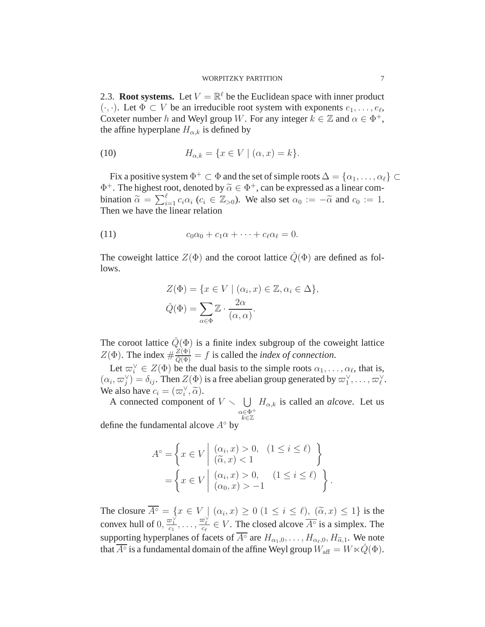#### WORPITZKY PARTITION 7

<span id="page-6-0"></span>2.3. **Root systems.** Let  $V = \mathbb{R}^{\ell}$  be the Euclidean space with inner product  $(\cdot, \cdot)$ . Let  $\Phi \subset V$  be an irreducible root system with exponents  $e_1, \ldots, e_\ell$ , Coxeter number h and Weyl group W. For any integer  $k \in \mathbb{Z}$  and  $\alpha \in \Phi^+$ , the affine hyperplane  $H_{\alpha,k}$  is defined by

(10) 
$$
H_{\alpha,k} = \{x \in V \mid (\alpha, x) = k\}.
$$

Fix a positive system  $\Phi^+ \subset \Phi$  and the set of simple roots  $\Delta = \{\alpha_1, \ldots, \alpha_\ell\} \subset$  $\Phi^+$ . The highest root, denoted by  $\widetilde{\alpha} \in \Phi^+$ , can be expressed as a linear combination  $\tilde{\alpha} = \sum_{i=1}^{\ell} c_i \alpha_i$  ( $c_i \in \mathbb{Z}_{>0}$ ). We also set  $\alpha_0 := -\tilde{\alpha}$  and  $c_0 := 1$ .<br>Then we have the linear relation

(11) 
$$
c_0\alpha_0 + c_1\alpha + \cdots + c_\ell\alpha_\ell = 0.
$$

The coweight lattice  $Z(\Phi)$  and the coroot lattice  $\dot{Q}(\Phi)$  are defined as follows.

<span id="page-6-1"></span>
$$
Z(\Phi) = \{x \in V \mid (\alpha_i, x) \in \mathbb{Z}, \alpha_i \in \Delta\},\
$$

$$
\tilde{Q}(\Phi) = \sum_{\alpha \in \Phi} \mathbb{Z} \cdot \frac{2\alpha}{(\alpha, \alpha)}.
$$

The coroot lattice  $\dot{Q}(\Phi)$  is a finite index subgroup of the coweight lattice  $Z(\Phi)$ . The index  $\#\frac{Z(\Phi)}{\tilde{Q}(\Phi)} = f$  is called the *index of connection*.

Let  $\varpi_i^{\vee} \in Z(\Phi)$  be the dual basis to the simple roots  $\alpha_1, \ldots, \alpha_{\ell}$ , that is,  $(\alpha_i, \varpi_j^{\vee}) = \delta_{ij}$ . Then  $Z(\Phi)$  is a free abelian group generated by  $\varpi_1^{\vee}, \ldots, \varpi_{\ell}^{\vee}$ . We also have  $c_i = (\varpi_i^{\vee}, \widetilde{\alpha}).$ 

A connected component of  $V \setminus \bigcup H_{\alpha,k}$  is called an *alcove*. Let us  $\alpha \in \Phi^+$ k∈Z

define the fundamental alcove  $A<sup>°</sup>$  by

$$
A^{\circ} = \left\{ x \in V \mid \begin{array}{l} (\alpha_i, x) > 0, & (1 \le i \le \ell) \\ (\widetilde{\alpha}, x) < 1 \end{array} \right\}
$$

$$
= \left\{ x \in V \mid \begin{array}{l} (\alpha_i, x) > 0, & (1 \le i \le \ell) \\ (\alpha_0, x) > -1 \end{array} \right\}
$$

.

The closure  $A^\circ = \{x \in V \mid (\alpha_i, x) \ge 0 \ (1 \le i \le \ell), \ (\tilde{\alpha}, x) \le 1\}$  is the convex hull of  $0, \frac{\varpi_1^{\vee}}{c_1}, \ldots, \frac{\varpi_{\ell}^{\vee}}{c_{\ell}} \in V$ . The closed alcove  $\overline{A^{\circ}}$  is a simplex. The supporting hyperplanes of facets of  $\overline{A^{\circ}}$  are  $H_{\alpha_1,0}, \ldots, H_{\alpha_\ell,0}, H_{\alpha,1}$ . We note that  $\overline{A^\circ}$  is a fundamental domain of the affine Weyl group  $\breve{W}_{\rm aff}=W\ltimes \breve{Q}(\Phi).$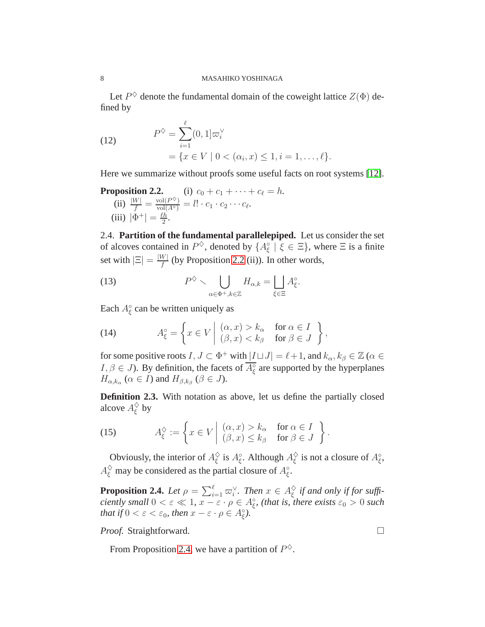Let  $P^{\diamondsuit}$  denote the fundamental domain of the coweight lattice  $Z(\Phi)$  defined by

<span id="page-7-3"></span>(12) 
$$
P^{\diamondsuit} = \sum_{i=1}^{\ell} (0, 1] \varpi_i^{\vee} = \{ x \in V \mid 0 < (\alpha_i, x) \le 1, i = 1, ..., \ell \}.
$$

Here we summarize without proofs some useful facts on root systems [\[12\]](#page-26-14).

**Proposition 2.2.** (i) 
$$
c_0 + c_1 + \cdots + c_\ell = h
$$
.  
\n(ii)  $\frac{|W|}{f} = \frac{\text{vol}(P^{\diamondsuit})}{\text{vol}(A^{\diamond})} = l! \cdot c_1 \cdot c_2 \cdots c_\ell$ .  
\n(iii)  $|\Phi^+| = \frac{\ell h}{2}$ .

<span id="page-7-0"></span>2.4. **Partition of the fundamental parallelepiped.** Let us consider the set of alcoves contained in  $P^{\diamondsuit}$ , denoted by  $\{A^{\circ}_{\xi} \mid \xi \in \Xi\}$ , where  $\Xi$  is a finite set with  $|\Xi| = \frac{|W|}{f}$  $\frac{W}{f}$  (by Proposition 2.2 (ii)). In other words,

(13) 
$$
P^{\diamondsuit} \setminus \bigcup_{\alpha \in \Phi^+, k \in \mathbb{Z}} H_{\alpha,k} = \bigsqcup_{\xi \in \Xi} A_{\xi}^{\circ}.
$$

Each  $A_{\xi}^{\circ}$  can be written uniquely as

(14) 
$$
A_{\xi}^{\circ} = \left\{ x \in V \middle| \begin{array}{ll} (\alpha, x) > k_{\alpha} & \text{for } \alpha \in I \\ (\beta, x) < k_{\beta} & \text{for } \beta \in J \end{array} \right\},
$$

for some positive roots  $I, J \subset \Phi^+$  with  $|I \sqcup J| = \ell + 1$ , and  $k_\alpha, k_\beta \in \mathbb{Z}$  ( $\alpha \in$  $I, \beta \in J$ ). By definition, the facets of  $\overline{A_{\xi}^{\circ}}$  are supported by the hyperplanes  $H_{\alpha,k_{\alpha}} \ (\alpha \in I)$  and  $H_{\beta,k_{\beta}} \ (\beta \in J)$ .

<span id="page-7-1"></span>**Definition 2.3.** With notation as above, let us define the partially closed alcove  $A_{\varepsilon}^{\diamondsuit}$  $_\xi^\diamond$  by

<span id="page-7-4"></span>(15) 
$$
A_{\xi}^{\diamondsuit} := \left\{ x \in V \middle| \begin{array}{ll} (\alpha, x) > k_{\alpha} & \text{for } \alpha \in I \\ (\beta, x) \leq k_{\beta} & \text{for } \beta \in J \end{array} \right\}.
$$

Obviously, the interior of  $A_{\varepsilon}^{\diamondsuit}$  $\frac{\diamond}{\xi}$  is  $A_{\xi}^{\circ}$ . Although  $A_{\xi}^{\diamond}$  $\frac{\diamond}{\xi}$  is not a closure of  $A_{\xi}^{\circ}$ ,  $A_{\xi}^{\Diamond}$  may be considered as the partial closure of  $A_{\xi}^{\circ}$ .

<span id="page-7-2"></span>**Proposition 2.4.** Let  $\rho = \sum_{i=1}^{\ell} \varpi_i^{\vee}$ . Then  $x \in A_{\xi}^{\diamondsuit}$ ξ *if and only if for sufficiently small*  $0 < \varepsilon \ll 1$ ,  $x - \varepsilon \cdot \rho \in A_{\xi}^{\circ}$ , (that is, there exists  $\varepsilon_0 > 0$  *such that if*  $0 < \varepsilon < \varepsilon_0$ *, then*  $x - \varepsilon \cdot \rho \in A_{\xi}^{\circ}$ *).* 

*Proof.* Straightforward. □

From Proposition [2.4,](#page-7-2) we have a partition of  $P^{\diamondsuit}$ .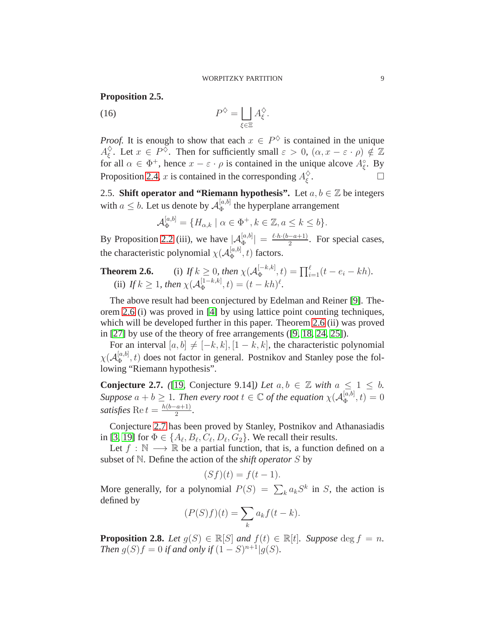# <span id="page-8-3"></span>**Proposition 2.5.**

<span id="page-8-2"></span>(16) 
$$
P^{\diamondsuit} = \bigsqcup_{\xi \in \Xi} A_{\xi}^{\diamondsuit}.
$$

*Proof.* It is enough to show that each  $x \in P^{\diamondsuit}$  is contained in the unique  $A^\diamond_\varepsilon$  $\frac{\diamond}{\xi}$ . Let  $x \in P^{\diamond}$ . Then for sufficiently small  $\varepsilon > 0$ ,  $(\alpha, x - \varepsilon \cdot \rho) \notin \mathbb{Z}$ for all  $\alpha \in \Phi^+$ , hence  $x - \varepsilon \cdot \rho$  is contained in the unique alcove  $A_{\xi}^{\circ}$ . By Proposition [2.4,](#page-7-2) x is contained in the corresponding  $A_{\xi}^{\diamondsuit}$ ξ .

<span id="page-8-0"></span>2.5. **Shift operator and "Riemann hypothesis".** Let  $a, b \in \mathbb{Z}$  be integers with  $a \leq b$ . Let us denote by  $\mathcal{A}_{\Phi}^{[a,b]}$  $\Phi_{\Phi}^{[a,0]}$  the hyperplane arrangement

$$
\mathcal{A}_{\Phi}^{[a,b]} = \{H_{\alpha,k} \mid \alpha \in \Phi^+, k \in \mathbb{Z}, a \leq k \leq b\}.
$$

By Proposition 2.2 (iii), we have  $|\mathcal{A}_{\Phi}^{[a,b]}| = \frac{\ell \cdot h \cdot (b-a+1)}{2}$  $\frac{a+1}{2}$ . For special cases, the characteristic polynomial  $\chi(\mathcal{A}_{\Phi}^{[a,b]}$  $\mathbb{E}_{\Phi}^{[a,0]}$ , t) factors.

**Theorem 2.6.** (i) If 
$$
k \ge 0
$$
, then  $\chi(A_{\Phi}^{[-k,k]}, t) = \prod_{i=1}^{\ell} (t - e_i - kh)$ .  
(ii) If  $k \ge 1$ , then  $\chi(A_{\Phi}^{[1-k,k]}, t) = (t - kh)^{\ell}$ .

The above result had been conjectured by Edelman and Reiner [\[9\]](#page-26-4). Theorem 2.6 (i) was proved in [\[4\]](#page-25-3) by using lattice point counting techniques, which will be developed further in this paper. Theorem 2.6 (ii) was proved in [\[27\]](#page-27-1) by use of the theory of free arrangements ([\[9,](#page-26-4) [18,](#page-26-13) [24,](#page-26-15) [25\]](#page-26-16)).

For an interval  $[a, b] \neq [-k, k], [1 - k, k]$ , the characteristic polynomial  $\chi({\cal A}_{\Phi}^{[a,b]}% )$  $\mathbb{R}^{[a,0]}$ , t) does not factor in general. Postnikov and Stanley pose the following "Riemann hypothesis".

<span id="page-8-1"></span>**Conjecture 2.7.** *(*[\[19,](#page-26-5) Conjecture 9.14]*) Let*  $a, b \in \mathbb{Z}$  *with*  $a \leq 1 \leq b$ *.* Suppose  $a + b \geq 1$ . Then every root  $t \in \mathbb{C}$  of the equation  $\chi(A_{\Phi}^{[a,b]})$  $\binom{[a,0]}{\Phi}, t) = 0$ *satisfies* Re  $t = \frac{h(b-a+1)}{2}$  $\frac{a+1}{2}$ .

Conjecture [2.7](#page-8-1) has been proved by Stanley, Postnikov and Athanasiadis in [\[3,](#page-25-4) [19\]](#page-26-5) for  $\Phi \in \{A_{\ell}, B_{\ell}, C_{\ell}, D_{\ell}, G_2\}$ . We recall their results.

Let  $f : \mathbb{N} \longrightarrow \mathbb{R}$  be a partial function, that is, a function defined on a subset of N. Define the action of the *shift operator* S by

$$
(Sf)(t) = f(t-1).
$$

More generally, for a polynomial  $P(S) = \sum_{k} a_k S^k$  in S, the action is defined by

$$
(P(S)f)(t) = \sum_{k} a_k f(t - k).
$$

<span id="page-8-4"></span>**Proposition 2.8.** *Let*  $g(S) \in \mathbb{R}[S]$  *and*  $f(t) \in \mathbb{R}[t]$ *. Suppose* deg  $f = n$ *. Then*  $g(S)f = 0$  *if and only if*  $(1 - S)^{n+1}|g(S)$ *.*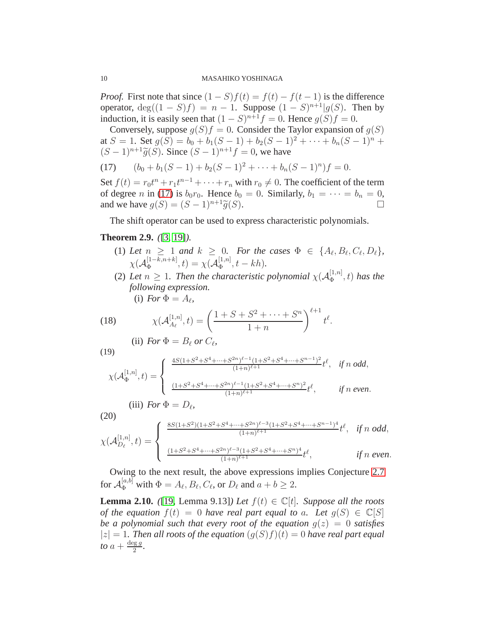*Proof.* First note that since  $(1 - S)f(t) = f(t) - f(t-1)$  is the difference operator,  $deg((1 - S)f) = n - 1$ . Suppose  $(1 - S)^{n+1}|g(S)$ . Then by induction, it is easily seen that  $(1 - S)^{n+1} f = 0$ . Hence  $g(S) f = 0$ .

Conversely, suppose  $g(S)f = 0$ . Consider the Taylor expansion of  $g(S)$ at  $S = 1$ . Set  $g(S) = b_0 + b_1(S - 1) + b_2(S - 1)^2 + \cdots + b_n(S - 1)^n$  +  $(S-1)^{n+1}\widetilde{g}(S)$ . Since  $(S-1)^{n+1}f=0$ , we have

<span id="page-9-0"></span>(17)  $(b_0 + b_1(S - 1) + b_2(S - 1)^2 + \cdots + b_n(S - 1)^n) f = 0.$ 

Set  $f(t) = r_0 t^n + r_1 t^{n-1} + \cdots + r_n$  with  $r_0 \neq 0$ . The coefficient of the term of degree n in [\(17\)](#page-9-0) is  $b_0r_0$ . Hence  $b_0 = 0$ . Similarly,  $b_1 = \cdots = b_n = 0$ , and we have  $g(S) = (S - 1)^{n+1} \widetilde{g}(S)$ .

The shift operator can be used to express characteristic polynomials.

# **Theorem 2.9.** *(*[\[3,](#page-25-4) [19\]](#page-26-5)*).*

- (1) Let  $n \geq 1$  and  $k \geq 0$ . For the cases  $\Phi \in \{A_{\ell}, B_{\ell}, C_{\ell}, D_{\ell}\},\$  $\chi (\mathcal{A}_\Phi^{[1-k,n+k]}$  $\mathcal{A}_{\Phi}^{[1-k,n+k]},t)=\chi(\mathcal{A}_{\Phi}^{[1,n]}% )\geq\chi(\mathcal{A}_{\Phi}^{[1,n]})\label{eq:varphi}%$  $_{\Phi}^{[1,n]}, t - kh).$
- (2) Let  $n \geq 1$ . Then the characteristic polynomial  $\chi(A_{\Phi}^{[1,n]})$  $\left(\frac{1}{\Phi}, n\right]$ , t) has the *following expression.* (i) *For*  $\Phi = A_{\ell}$ ,

 $t^{\ell}.$ 

(18) 
$$
\chi(\mathcal{A}_{A_{\ell}}^{[1,n]},t) = \left(\frac{1+S+S^2+\cdots+S^n}{1+n}\right)^{\ell+1}
$$

<span id="page-9-1"></span>(ii) For 
$$
\Phi = B_\ell
$$
 or  $C_\ell$ ,

$$
\int \frac{4S(1+S^2)}{S}
$$

(19)

$$
\chi(\mathcal{A}_{\Phi}^{[1,n]},t) = \begin{cases} \frac{4S(1+S^2+S^4+\cdots+S^{2n})^{\ell-1}(1+S^2+S^4+\cdots+S^{n-1})^2}{(1+n)^{\ell+1}}t^{\ell}, & \text{if } n \text{ odd,} \\ \frac{(1+S^2+S^4+\cdots+S^{2n})^{\ell-1}(1+S^2+S^4+\cdots+S^n)^2}{(1+n)^{\ell+1}}t^{\ell}, & \text{if } n \text{ even.} \end{cases}
$$

$$
(iii) For \Phi = D_{\ell},
$$

$$
\chi(\mathcal{A}_{D_{\ell}}^{[1,n]},t) = \begin{cases} \frac{8S(1+S^2)(1+S^2+S^4+\cdots+S^{2n})^{\ell-3}(1+S^2+S^4+\cdots+S^{n-1})^4}{(1+n)^{\ell+1}}t^{\ell}, & \text{if } n \text{ odd}, \\ \frac{(1+S^2+S^4+\cdots+S^{2n})^{\ell-3}(1+S^2+S^4+\cdots+S^{n})^4}{(1+n)^{\ell+1}}t^{\ell}, & \text{if } n \text{ even}. \end{cases}
$$

Owing to the next result, the above expressions implies Conjecture [2.7](#page-8-1) for  $\mathcal{A}_{\Phi}^{[a,b]}$  with  $\Phi = A_{\ell}, B_{\ell}, C_{\ell}$ , or  $D_{\ell}$  and  $a + b \geq 2$ .

<span id="page-9-2"></span>**Lemma 2.10.** *(*[\[19,](#page-26-5) Lemma 9.13]*) Let*  $f(t) \in \mathbb{C}[t]$ *. Suppose all the roots of the equation*  $f(t) = 0$  *have real part equal to a. Let*  $g(S) \in \mathbb{C}[S]$ *be a polynomial such that every root of the equation*  $q(z) = 0$  *satisfies*  $|z| = 1$ . Then all roots of the equation  $(q(S)f)(t) = 0$  have real part equal *to*  $a + \frac{\deg g}{2}$  $\frac{2}{2}$ .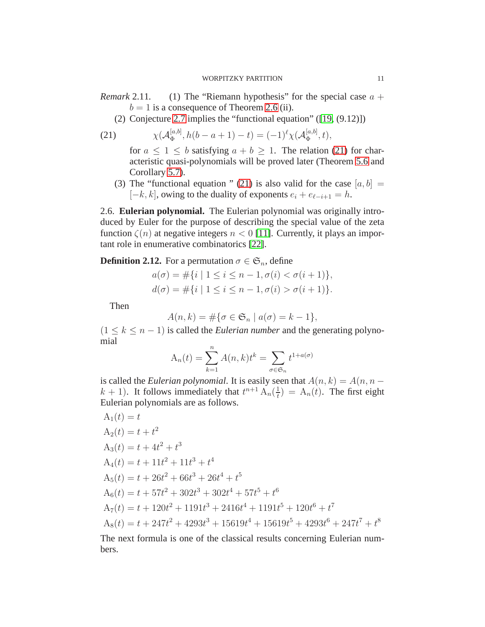- *Remark* 2.11. (1) The "Riemann hypothesis" for the special case  $a +$  $b = 1$  is a consequence of Theorem 2.6 (ii).
	- (2) Conjecture [2.7](#page-8-1) implies the "functional equation" ([\[19,](#page-26-5) (9.12)])

(21) 
$$
\chi(\mathcal{A}_{\Phi}^{[a,b]}, h(b-a+1)-t) = (-1)^{\ell} \chi(\mathcal{A}_{\Phi}^{[a,b]}, t),
$$

<span id="page-10-1"></span>for  $a \leq 1 \leq b$  satisfying  $a + b \geq 1$ . The relation [\(21\)](#page-10-1) for characteristic quasi-polynomials will be proved later (Theorem [5.6](#page-23-2) and Corollary [5.7\)](#page-24-1).

(3) The "functional equation " [\(21\)](#page-10-1) is also valid for the case  $[a, b] =$  $[-k, k]$ , owing to the duality of exponents  $e_i + e_{\ell-i+1} = h$ .

<span id="page-10-0"></span>2.6. **Eulerian polynomial.** The Eulerian polynomial was originally introduced by Euler for the purpose of describing the special value of the zeta function  $\zeta(n)$  at negative integers  $n < 0$  [\[11\]](#page-26-17). Currently, it plays an important role in enumerative combinatorics [\[22\]](#page-26-18).

# **Definition 2.12.** For a permutation  $\sigma \in \mathfrak{S}_n$ , define

$$
a(\sigma) = \#\{i \mid 1 \le i \le n-1, \sigma(i) < \sigma(i+1)\},\
$$

$$
d(\sigma) = \#\{i \mid 1 \le i \le n-1, \sigma(i) > \sigma(i+1)\}.
$$

Then

$$
A(n,k) = \#\{\sigma \in \mathfrak{S}_n \mid a(\sigma) = k - 1\},\
$$

 $(1 \leq k \leq n-1)$  is called the *Eulerian number* and the generating polynomial

$$
A_n(t) = \sum_{k=1}^n A(n,k)t^k = \sum_{\sigma \in \mathfrak{S}_n} t^{1+a(\sigma)}
$$

is called the *Eulerian polynomial*. It is easily seen that  $A(n, k) = A(n, n - 1)$  $k + 1$ ). It follows immediately that  $t^{n+1} \mathcal{A}_n(\frac{1}{t})$  $\frac{1}{t}$ ) = A<sub>n</sub>(t). The first eight Eulerian polynomials are as follows.

$$
A_1(t) = t
$$
  
\n
$$
A_2(t) = t + t^2
$$
  
\n
$$
A_3(t) = t + 4t^2 + t^3
$$
  
\n
$$
A_4(t) = t + 11t^2 + 11t^3 + t^4
$$
  
\n
$$
A_5(t) = t + 26t^2 + 66t^3 + 26t^4 + t^5
$$
  
\n
$$
A_6(t) = t + 57t^2 + 302t^3 + 302t^4 + 57t^5 + t^6
$$
  
\n
$$
A_7(t) = t + 120t^2 + 1191t^3 + 2416t^4 + 1191t^5 + 120t^6 + t^7
$$
  
\n
$$
A_8(t) = t + 247t^2 + 4293t^3 + 15619t^4 + 15619t^5 + 4293t^6 + 247t^7 + t^8
$$

The next formula is one of the classical results concerning Eulerian numbers.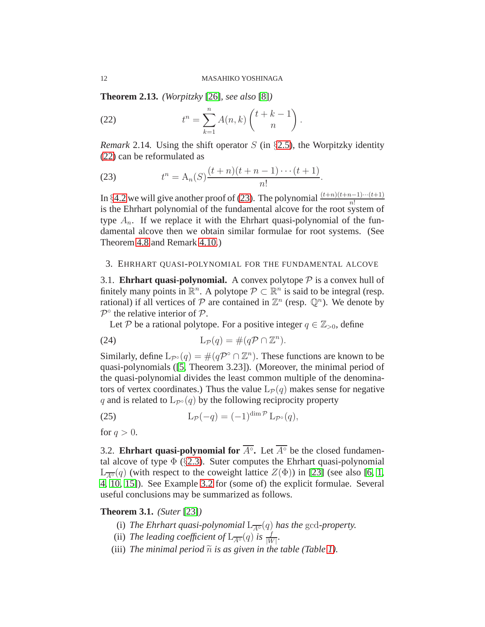**Theorem 2.13.** *(Worpitzky* [\[26\]](#page-26-9)*, see also* [\[8\]](#page-26-10)*)*

<span id="page-11-3"></span>(22) 
$$
t^{n} = \sum_{k=1}^{n} A(n, k) \binom{t+k-1}{n}.
$$

*Remark* 2.14. Using the shift operator S (in  $\S$ [2.5\)](#page-8-0), the Worpitzky identity [\(22\)](#page-11-3) can be reformulated as

<span id="page-11-4"></span>(23) 
$$
t^{n} = A_{n}(S) \frac{(t+n)(t+n-1)\cdots(t+1)}{n!}.
$$

In §[4.2](#page-18-0) we will give another proof of [\(23\)](#page-11-4). The polynomial  $\frac{(t+n)(t+n-1)\cdots(t+1)}{n!}$ is the Ehrhart polynomial of the fundamental alcove for the root system of type  $A_n$ . If we replace it with the Ehrhart quasi-polynomial of the fundamental alcove then we obtain similar formulae for root systems. (See Theorem [4.8](#page-18-2) and Remark [4.10.](#page-19-0))

# <span id="page-11-1"></span><span id="page-11-0"></span>3. EHRHART QUASI-POLYNOMIAL FOR THE FUNDAMENTAL ALCOVE

3.1. **Ehrhart quasi-polynomial.** A convex polytope  $P$  is a convex hull of finitely many points in  $\mathbb{R}^n$ . A polytope  $\mathcal{P} \subset \mathbb{R}^n$  is said to be integral (resp. rational) if all vertices of  $P$  are contained in  $\mathbb{Z}^n$  (resp.  $\mathbb{Q}^n$ ). We denote by  $\mathcal{P}^{\circ}$  the relative interior of  $\mathcal{P}.$ 

Let P be a rational polytope. For a positive integer  $q \in \mathbb{Z}_{>0}$ , define

(24) 
$$
L_{\mathcal{P}}(q) = \#(q\mathcal{P} \cap \mathbb{Z}^n).
$$

Similarly, define  $L_{\mathcal{P}^{\circ}}(q) = \#(q\mathcal{P}^{\circ} \cap \mathbb{Z}^n)$ . These functions are known to be quasi-polynomials ([\[5,](#page-25-5) Theorem 3.23]). (Moreover, the minimal period of the quasi-polynomial divides the least common multiple of the denominators of vertex coordinates.) Thus the value  $L_{\mathcal{P}}(q)$  makes sense for negative q and is related to  $L_{\mathcal{P}^{\circ}}(q)$  by the following reciprocity property

<span id="page-11-5"></span>(25) 
$$
L_{\mathcal{P}}(-q) = (-1)^{\dim \mathcal{P}} L_{\mathcal{P}^{\circ}}(q),
$$

<span id="page-11-2"></span>for  $q > 0$ .

3.2. **Ehrhart quasi-polynomial for**  $\overline{A^{\circ}}$ . Let  $\overline{A^{\circ}}$  be the closed fundamental alcove of type  $\Phi$  (§[2.3\)](#page-6-0). Suter computes the Ehrhart quasi-polynomial  $L_{\overline{A\circ}}(q)$  (with respect to the coweight lattice  $Z(\Phi)$ ) in [\[23\]](#page-26-19) (see also [\[6,](#page-26-7) [1,](#page-25-2) [4,](#page-25-3) [10,](#page-26-20) [15\]](#page-26-6)). See Example 3.2 for (some of) the explicit formulae. Several useful conclusions may be summarized as follows.

#### <span id="page-11-6"></span>**Theorem 3.1.** *(Suter* [\[23\]](#page-26-19)*)*

- (i) *The Ehrhart quasi-polynomial*  $L_{\overline{A}^\circ}(q)$  *has the* gcd-*property*.
- (ii) *The leading coefficient of*  $L_{\overline{A^{\circ}}}(q)$  *is*  $\frac{f}{|W|}$ *.*
- (iii) The minimal period  $\tilde{n}$  is as given in the table (Table [1\)](#page-12-0).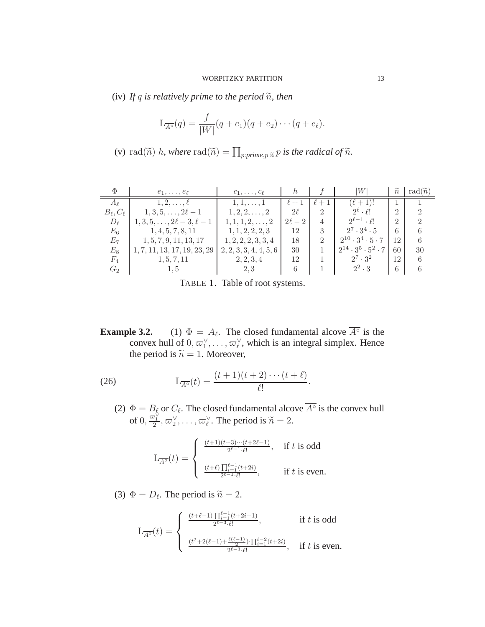(iv) If q is relatively prime to the period  $\tilde{n}$ , then

$$
L_{\overline{A^\circ}}(q) = \frac{f}{|W|}(q + e_1)(q + e_2) \cdots (q + e_\ell).
$$

(v) rad $(\widetilde{n})|h$ , where  $\text{rad}(\widetilde{n}) = \prod_{p:prime,p|\widetilde{n}} p$  is the radical of  $\widetilde{n}$ .

| Φ                    | $e_1,\ldots,e_\ell$                | $c_1, \ldots, c_\ell$   | h          |                | W                                    | $\widetilde{n}$ | rad $(\widetilde{n})$ |
|----------------------|------------------------------------|-------------------------|------------|----------------|--------------------------------------|-----------------|-----------------------|
| $A_{\ell}$           | $1, 2, \ldots, \ell$               | $1, 1, \ldots, 1$       | $\ell + 1$ | $\ell + 1$     | $(\ell + 1)!$                        |                 |                       |
| $B_{\ell}, C_{\ell}$ | $1, 3, 5, \ldots, 2\ell-1$         | $1, 2, 2, \ldots, 2$    | $2\ell$    | $\overline{2}$ | $2^{\ell} \cdot \ell!$               | $\mathfrak{D}$  | 2                     |
| $D_{\ell}$           | $1, 3, 5, \ldots, 2\ell-3, \ell-1$ | $1, 1, 1, 2, \ldots, 2$ | $2\ell-2$  | $\overline{4}$ | $2^{\ell-1} \cdot \ell!$             | $\overline{2}$  | $\mathcal{D}$         |
| $E_6$                | 1, 4, 5, 7, 8, 11                  | 1, 1, 2, 2, 2, 3        | 12         | 3              | $2^7 \cdot 3^4 \cdot 5$              | 6               |                       |
| $E_7$                | 1, 5, 7, 9, 11, 13, 17             | 1, 2, 2, 2, 3, 3, 4     | 18         | $\overline{2}$ | $2^{10} \cdot 3^4 \cdot 5 \cdot 7$   | 12              |                       |
| $E_8$                | 1, 7, 11, 13, 17, 19, 23, 29       | 2, 2, 3, 3, 4, 4, 5, 6  | 30         |                | $2^{14} \cdot 3^5 \cdot 5^2 \cdot 7$ | 60              | 30                    |
| $F_4$                | 1, 5, 7, 11                        | 2, 2, 3, 4              | 12         |                | $2^7 \cdot 3^2$                      | 12              | 6                     |
| $G_2$                | 1.5                                | 2,3                     | 6          |                | $2^2 \cdot 3$                        | 6               |                       |

<span id="page-12-0"></span>TABLE 1. Table of root systems.

**Example 3.2.** (1)  $\Phi = A_{\ell}$ . The closed fundamental alcove  $A^{\circ}$  is the convex hull of  $0, \varpi_1^{\vee}, \ldots, \varpi_{\ell}^{\vee}$ , which is an integral simplex. Hence the period is  $\tilde{n} = 1$ . Moreover,

(26) 
$$
L_{\overline{A^{\circ}}}(t) = \frac{(t+1)(t+2)\cdots(t+\ell)}{\ell!}.
$$

(2)  $\Phi = B_{\ell}$  or  $C_{\ell}$ . The closed fundamental alcove  $\overline{A^{\circ}}$  is the convex hull of  $0, \frac{\varpi_1^{\vee}}{2}, \varpi_2^{\vee}, \ldots, \varpi_{\ell}^{\vee}$ . The period is  $\widetilde{n} = 2$ .

<span id="page-12-1"></span>
$$
\mathcal{L}_{\overline{A^\circ}}(t)=\left\{\begin{array}{ll} \frac{(t+1)(t+3)\cdots(t+2\ell-1)}{2^{\ell-1}\cdot\ell!},& \text{ if } t \text{ is odd} \\ \\ \frac{(t+\ell)\prod_{i=1}^{\ell-1}(t+2i)}{2^{\ell-1}\cdot\ell!},& \text{ if } t \text{ is even.} \end{array}\right.
$$

(3)  $\Phi = D_{\ell}$ . The period is  $\tilde{n} = 2$ .

$$
\mathcal{L}_{\overline{A^\circ}}(t) = \left\{ \begin{array}{ll} \frac{(t+\ell-1)\prod_{i=1}^{\ell-1}(t+2i-1)}{2^{\ell-3} \cdot \ell!}, & \text{if $t$ is odd} \\ & \\ \frac{(t^2+2(\ell-1)+\frac{\ell(\ell-1)}{2}) \cdot \prod_{i=1}^{\ell-2}(t+2i)}{2^{\ell-3} \cdot \ell!}, & \text{if $t$ is even.} \end{array} \right.
$$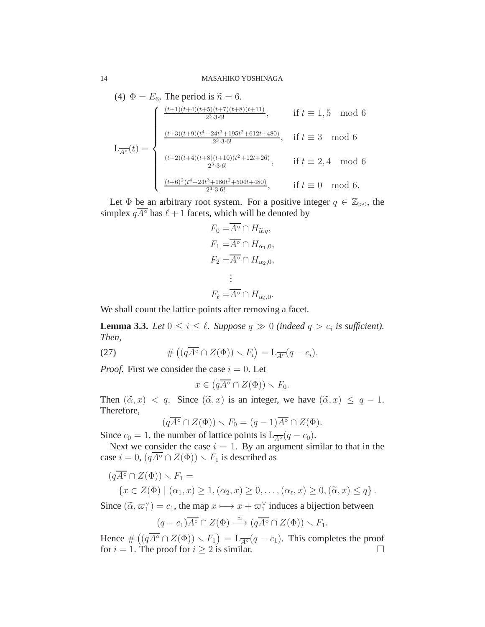(4) 
$$
\Phi = E_6
$$
. The period is  $\tilde{n} = 6$ .  
\n
$$
L_{\overline{A^{\circ}}}(t) = \begin{cases}\n\frac{(t+1)(t+4)(t+5)(t+7)(t+8)(t+11)}{2^3 \cdot 3 \cdot 6!}, & \text{if } t \equiv 1, 5 \mod 6 \\
\frac{(t+3)(t+9)(t^4 + 24t^3 + 195t^2 + 612t + 480)}{2^3 \cdot 3 \cdot 6!}, & \text{if } t \equiv 3 \mod 6 \\
\frac{(t+2)(t+4)(t+8)(t+10)(t^2 + 12t + 26)}{2^3 \cdot 3 \cdot 6!}, & \text{if } t \equiv 2, 4 \mod 6 \\
\frac{(t+6)^2(t^4 + 24t^3 + 186t^2 + 504t + 480)}{2^3 \cdot 3 \cdot 6!}, & \text{if } t \equiv 0 \mod 6.\n\end{cases}
$$

Let  $\Phi$  be an arbitrary root system. For a positive integer  $q \in \mathbb{Z}_{>0}$ , the simplex  $q\overline{A^{\circ}}$  has  $\ell + 1$  facets, which will be denoted by

$$
F_0 = \overline{A^\circ} \cap H_{\widetilde{\alpha},q},
$$
  
\n
$$
F_1 = \overline{A^\circ} \cap H_{\alpha_1,0},
$$
  
\n
$$
F_2 = \overline{A^\circ} \cap H_{\alpha_2,0},
$$
  
\n
$$
\vdots
$$
  
\n
$$
F_\ell = \overline{A^\circ} \cap H_{\alpha_\ell,0}.
$$

We shall count the lattice points after removing a facet.

<span id="page-13-0"></span>**Lemma 3.3.** *Let*  $0 \le i \le \ell$ . *Suppose*  $q \gg 0$  *(indeed*  $q > c_i$  *is sufficient). Then,*

(27) 
$$
\# \left( (q\overline{A^{\circ}} \cap Z(\Phi)) \setminus F_i \right) = \mathcal{L}_{\overline{A^{\circ}}} (q - c_i).
$$

*Proof.* First we consider the case  $i = 0$ . Let

$$
x \in (q\overline{A^{\circ}} \cap Z(\Phi)) \smallsetminus F_0.
$$

Then  $(\tilde{\alpha}, x) < q$ . Since  $(\tilde{\alpha}, x)$  is an integer, we have  $(\tilde{\alpha}, x) \leq q - 1$ . Therefore,

$$
(q\overline{A^{\circ}} \cap Z(\Phi)) \setminus F_0 = (q-1)\overline{A^{\circ}} \cap Z(\Phi).
$$

Since  $c_0 = 1$ , the number of lattice points is  $L_{\overline{A} \circ (q - c_0)}$ .

Next we consider the case  $i = 1$ . By an argument similar to that in the case  $i = 0$ ,  $(q\overline{A^\circ} \cap Z(\Phi)) \setminus F_1$  is described as

$$
(q\overline{A^{\circ}} \cap Z(\Phi)) \setminus F_1 =
$$
  

$$
\{x \in Z(\Phi) \mid (\alpha_1, x) \ge 1, (\alpha_2, x) \ge 0, \dots, (\alpha_{\ell}, x) \ge 0, (\tilde{\alpha}, x) \le q\}.
$$

Since  $(\tilde{\alpha}, \varpi_1^{\vee}) = c_1$ , the map  $x \mapsto x + \varpi_1^{\vee}$  induces a bijection between

$$
(q-c_1)\overline{A^{\circ}} \cap Z(\Phi) \stackrel{\simeq}{\longrightarrow} (q\overline{A^{\circ}} \cap Z(\Phi)) \setminus F_1.
$$

Hence  $\#((q\overline{A^{\circ}} \cap Z(\Phi)) \setminus F_1) = L_{\overline{A^{\circ}}}(q - c_1)$ . This completes the proof for  $i = 1$ . The proof for  $i \ge 2$  is similar.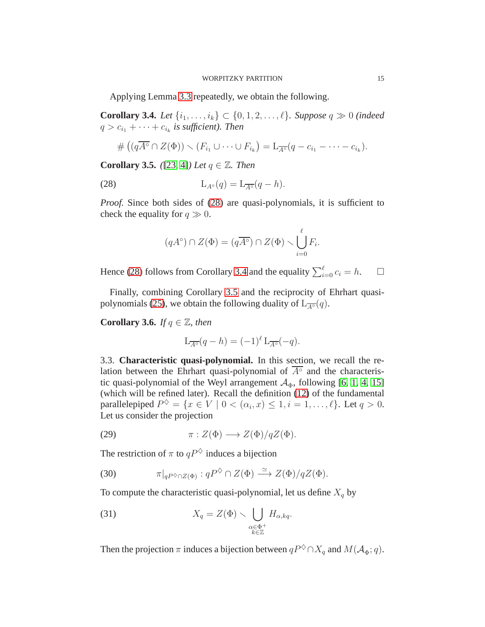Applying Lemma [3.3](#page-13-0) repeatedly, we obtain the following.

<span id="page-14-4"></span>**Corollary 3.4.** *Let*  $\{i_1, ..., i_k\}$  ⊂  $\{0, 1, 2, ..., \ell\}$ *. Suppose*  $q \ge 0$  *(indeed*  $q > c_{i_1} + \cdots + c_{i_k}$  is sufficient). Then

$$
\# \left( (q\overline{A^{\circ}} \cap Z(\Phi)) \setminus (F_{i_1} \cup \cdots \cup F_{i_k}) = L_{\overline{A^{\circ}}}(q - c_{i_1} - \cdots - c_{i_k}).
$$

<span id="page-14-1"></span>**Corollary 3.5.** *(*[\[23,](#page-26-19) 4*) Let*  $q \in \mathbb{Z}$ *. Then* 

(28) 
$$
L_{A^{\circ}}(q) = L_{\overline{A^{\circ}}}(q - h).
$$

*Proof.* Since both sides of [\(28\)](#page-14-3) are quasi-polynomials, it is sufficient to check the equality for  $q \gg 0$ .

<span id="page-14-3"></span>
$$
(qA^{\circ}) \cap Z(\Phi) = (q\overline{A^{\circ}}) \cap Z(\Phi) \setminus \bigcup_{i=0}^{\ell} F_i.
$$

Hence [\(28\)](#page-14-3) follows from Corollary [3.4](#page-14-4) and the equality  $\sum_{i=0}^{\ell} c_i = h$ .  $\Box$ 

Finally, combining Corollary [3.5](#page-14-1) and the reciprocity of Ehrhart quasi-polynomials [\(25\)](#page-11-5), we obtain the following duality of  $L_{\overline{A} \circ (q)}$ .

<span id="page-14-2"></span>**Corollary 3.6.** *If*  $q \in \mathbb{Z}$ *, then* 

$$
L_{\overline{A^{\circ}}}(q-h) = (-1)^{\ell} L_{\overline{A^{\circ}}}(-q).
$$

<span id="page-14-0"></span>3.3. **Characteristic quasi-polynomial.** In this section, we recall the relation between the Ehrhart quasi-polynomial of  $\overline{A^{\circ}}$  and the characteristic quasi-polynomial of the Weyl arrangement  $A_{\Phi}$ , following [\[6,](#page-26-7) [1,](#page-25-2) [4,](#page-25-3) [15\]](#page-26-6) (which will be refined later). Recall the definition [\(12\)](#page-7-3) of the fundamental parallelepiped  $P^{\diamondsuit} = \{x \in V \mid 0 < (\alpha_i, x) \leq 1, i = 1, \ldots, \ell\}$ . Let  $q > 0$ . Let us consider the projection

(29) 
$$
\pi: Z(\Phi) \longrightarrow Z(\Phi)/qZ(\Phi).
$$

The restriction of  $\pi$  to  $qP^{\diamondsuit}$  induces a bijection

<span id="page-14-5"></span>(30) 
$$
\pi|_{qP^{\diamondsuit} \cap Z(\Phi)} : qP^{\diamondsuit} \cap Z(\Phi) \xrightarrow{\simeq} Z(\Phi)/qZ(\Phi).
$$

To compute the characteristic quasi-polynomial, let us define  $X_q$  by

(31) 
$$
X_q = Z(\Phi) \setminus \bigcup_{\substack{\alpha \in \Phi^+ \\ k \in \mathbb{Z}}} H_{\alpha, kq}.
$$

Then the projection  $\pi$  induces a bijection between  $qP^{\diamondsuit} \cap X_q$  and  $M(\mathcal{A}_{\Phi}; q)$ .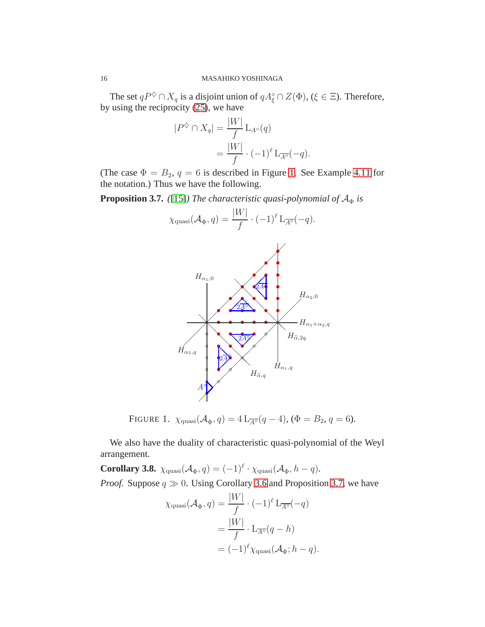The set  $qP^{\diamondsuit} \cap X_q$  is a disjoint union of  $qA_{\xi}^{\circ} \cap Z(\Phi)$ ,  $(\xi \in \Xi)$ . Therefore, by using the reciprocity [\(25\)](#page-11-5), we have

$$
|P^{\diamondsuit} \cap X_q| = \frac{|W|}{f} \operatorname{L}_{A^{\circ}}(q)
$$
  
= 
$$
\frac{|W|}{f} \cdot (-1)^{\ell} \operatorname{L}_{\overline{A^{\circ}}}(-q).
$$

(The case  $\Phi = B_2$ ,  $q = 6$  is described in Figure [1.](#page-15-0) See Example [4.11](#page-19-1) for the notation.) Thus we have the following.

<span id="page-15-1"></span>**Proposition 3.7.** *(*[\[15\]](#page-26-6)*) The characteristic quasi-polynomial of*  $A_{\Phi}$  *is* 



<span id="page-15-0"></span>FIGURE 1.  $\chi_{\text{quasi}}(\mathcal{A}_{\Phi}, q) = 4 L_{\overline{A^{\circ}}}(q-4), (\Phi = B_2, q = 6).$ 

We also have the duality of characteristic quasi-polynomial of the Weyl arrangement.

**Corollary 3.8.**  $\chi_{\text{quasi}}(\mathcal{A}_{\Phi}, q) = (-1)^{\ell} \cdot \chi_{\text{quasi}}(\mathcal{A}_{\Phi}, h - q)$ . *Proof.* Suppose  $q \gg 0$ . Using Corollary [3.6](#page-14-2) and Proposition [3.7,](#page-15-1) we have

$$
\chi_{\text{quasi}}(\mathcal{A}_{\Phi}, q) = \frac{|W|}{f} \cdot (-1)^{\ell} \mathcal{L}_{\overline{A^{\circ}}}(-q)
$$

$$
= \frac{|W|}{f} \cdot \mathcal{L}_{\overline{A^{\circ}}}(q - h)
$$

$$
= (-1)^{\ell} \chi_{\text{quasi}}(\mathcal{A}_{\Phi}; h - q).
$$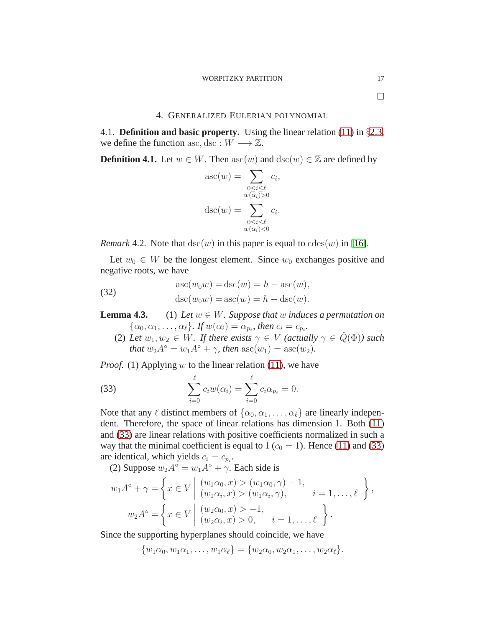$\Box$ 

# 4. GENERALIZED EULERIAN POLYNOMIAL

<span id="page-16-1"></span><span id="page-16-0"></span>4.1. **Definition and basic property.** Using the linear relation [\(11\)](#page-6-1) in §[2.3,](#page-6-0) we define the function asc, dsc :  $W \longrightarrow \mathbb{Z}$ .

<span id="page-16-2"></span>**Definition 4.1.** Let  $w \in W$ . Then  $asc(w)$  and  $dsc(w) \in \mathbb{Z}$  are defined by

$$
asc(w) = \sum_{\substack{0 \le i \le \ell \\ w(\alpha_i) > 0}} c_i,
$$

$$
disc(w) = \sum_{\substack{0 \le i \le \ell \\ w(\alpha_i) < 0}} c_i.
$$

*Remark* 4.2. Note that  $\text{dsc}(w)$  in this paper is equal to  $\text{cdes}(w)$  in [\[16\]](#page-26-8).

Let  $w_0 \in W$  be the longest element. Since  $w_0$  exchanges positive and negative roots, we have

<span id="page-16-4"></span>(32) 
$$
\operatorname{asc}(w_0w) = \operatorname{dsc}(w) = h - \operatorname{asc}(w),
$$

$$
\operatorname{dsc}(w_0w) = \operatorname{asc}(w) = h - \operatorname{dsc}(w).
$$

**Lemma 4.3.** (1) *Let*  $w \in W$ *. Suppose that*  $w$  *induces a permutation on*  $\{\alpha_0, \alpha_1, \ldots, \alpha_\ell\}$ *. If*  $w(\alpha_i) = \alpha_{p_i}$ *, then*  $c_i = c_{p_i}$ *.* 

(2) Let  $w_1, w_2 \in W$ . If there exists  $\gamma \in V$  (actually  $\gamma \in \check{Q}(\Phi)$ ) such *that*  $w_2 A^\circ = w_1 A^\circ + \gamma$ *, then*  $\operatorname{asc}(w_1) = \operatorname{asc}(w_2)$ *.* 

*Proof.* (1) Applying w to the linear relation [\(11\)](#page-6-1), we have

<span id="page-16-3"></span>(33) 
$$
\sum_{i=0}^{\ell} c_i w(\alpha_i) = \sum_{i=0}^{\ell} c_i \alpha_{p_i} = 0.
$$

Note that any  $\ell$  distinct members of  $\{\alpha_0, \alpha_1, \dots, \alpha_\ell\}$  are linearly independent. Therefore, the space of linear relations has dimension 1. Both [\(11\)](#page-6-1) and [\(33\)](#page-16-3) are linear relations with positive coefficients normalized in such a way that the minimal coefficient is equal to 1 ( $c_0 = 1$ ). Hence [\(11\)](#page-6-1) and [\(33\)](#page-16-3) are identical, which yields  $c_i = c_{p_i}$ .

(2) Suppose  $w_2 A^\circ = w_1 A^\circ + \gamma$ . Each side is

$$
w_1 A^{\circ} + \gamma = \left\{ x \in V \middle| \begin{array}{l} (w_1 \alpha_0, x) > (w_1 \alpha_0, \gamma) - 1, \\ (w_1 \alpha_i, x) > (w_1 \alpha_i, \gamma), \end{array} \right. i = 1, ..., \ell \left.\right\},
$$
  

$$
w_2 A^{\circ} = \left\{ x \in V \middle| \begin{array}{l} (w_2 \alpha_0, x) > -1, \\ (w_2 \alpha_i, x) > 0, \end{array} \right. i = 1, ..., \ell \left.\right\}.
$$

Since the supporting hyperplanes should coincide, we have

$$
\{w_1\alpha_0, w_1\alpha_1, \ldots, w_1\alpha_\ell\} = \{w_2\alpha_0, w_2\alpha_1, \ldots, w_2\alpha_\ell\}.
$$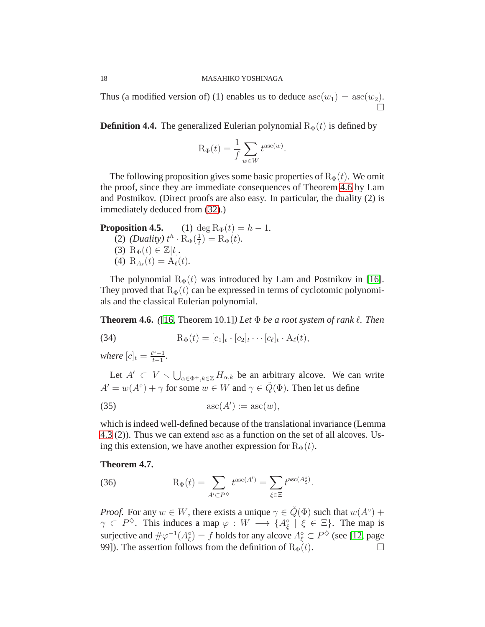Thus (a modified version of) (1) enables us to deduce  $\operatorname{asc}(w_1) = \operatorname{asc}(w_2)$ .  $\Box$ 

<span id="page-17-2"></span>**Definition 4.4.** The generalized Eulerian polynomial  $R_{\Phi}(t)$  is defined by

$$
R_{\Phi}(t) = \frac{1}{f} \sum_{w \in W} t^{\mathrm{asc}(w)}.
$$

The following proposition gives some basic properties of  $R_{\Phi}(t)$ . We omit the proof, since they are immediate consequences of Theorem [4.6](#page-17-3) by Lam and Postnikov. (Direct proofs are also easy. In particular, the duality (2) is immediately deduced from [\(32\)](#page-16-4).)

**Proposition 4.5.** (1) deg  $R_{\Phi}(t) = h - 1$ . (2) *(Duality)*  $t^h \cdot R_{\Phi}(\frac{1}{t})$  $(\frac{1}{t}) = R_{\Phi}(t).$ (3)  $R_{\Phi}(t) \in \mathbb{Z}[t]$ . (4)  $R_{A_{\ell}}(t) = A_{\ell}(t)$ .

The polynomial  $R_{\Phi}(t)$  was introduced by Lam and Postnikov in [\[16\]](#page-26-8). They proved that  $R_{\Phi}(t)$  can be expressed in terms of cyclotomic polynomials and the classical Eulerian polynomial.

<span id="page-17-3"></span>**Theorem 4.6.** *(*[\[16,](#page-26-8) Theorem 10.1]*)* Let  $\Phi$  be a root system of rank  $\ell$ . Then

(34) 
$$
R_{\Phi}(t) = [c_1]_t \cdot [c_2]_t \cdots [c_{\ell}]_t \cdot A_{\ell}(t),
$$

*where*  $[c]_t = \frac{t^c - 1}{t - 1}$  $\frac{c-1}{t-1}$ .

Let  $A' \subset V \setminus \bigcup_{\alpha \in \Phi^+, k \in \mathbb{Z}} H_{\alpha,k}$  be an arbitrary alcove. We can write  $A' = w(A^{\circ}) + \gamma$  for some  $w \in W$  and  $\gamma \in \check{Q}(\Phi)$ . Then let us define

<span id="page-17-0"></span>
$$
\operatorname{asc}(A') := \operatorname{asc}(w),
$$

which is indeed well-defined because of the translational invariance (Lemma 4.3 (2)). Thus we can extend asc as a function on the set of all alcoves. Using this extension, we have another expression for  $R_{\Phi}(t)$ .

## <span id="page-17-1"></span>**Theorem 4.7.**

(36) 
$$
R_{\Phi}(t) = \sum_{A' \subset P^{\diamondsuit}} t^{\mathrm{asc}(A')} = \sum_{\xi \in \Xi} t^{\mathrm{asc}(A^{\circ}_{\xi})}.
$$

*Proof.* For any  $w \in W$ , there exists a unique  $\gamma \in \check{Q}(\Phi)$  such that  $w(A^{\circ})$  +  $\gamma \subset P^{\diamondsuit}$ . This induces a map  $\varphi : W \longrightarrow \{A_{\xi}^{\circ} \mid \xi \in \Xi\}$ . The map is surjective and  $\#\varphi^{-1}(A_{\xi}^{\circ}) = f$  holds for any alcove  $A_{\xi}^{\circ} \subset P^{\diamondsuit}$  (see [\[12,](#page-26-14) page 99]). The assertion follows from the definition of  $R_{\Phi}(t)$ .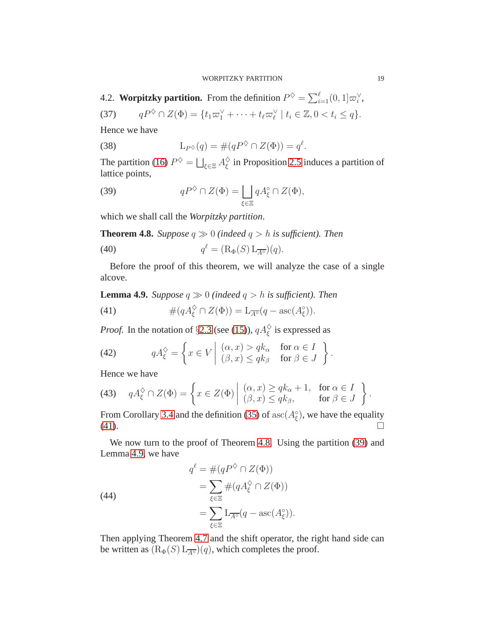#### WORPITZKY PARTITION 19

<span id="page-18-0"></span>4.2. **Worpitzky partition.** From the definition  $P^{\diamondsuit} = \sum_{i=1}^{\ell} (0, 1] \varpi_i^{\vee}$ ,

(37) 
$$
qP^{\diamondsuit} \cap Z(\Phi) = \{t_1\varpi_1^{\vee} + \cdots + t_\ell \varpi_\ell^{\vee} \mid t_i \in \mathbb{Z}, 0 < t_i \leq q\}.
$$

Hence we have

(38) 
$$
L_{P^{\diamondsuit}}(q) = \#(qP^{\diamondsuit} \cap Z(\Phi)) = q^{\ell}.
$$

The partition [\(16\)](#page-8-2)  $P^{\diamondsuit} = \bigsqcup_{\xi \in \Xi} A_{\xi}^{\diamondsuit}$  $\frac{\diamond}{\xi}$  in Proposition [2.5](#page-8-3) induces a partition of lattice points,

<span id="page-18-4"></span>(39) 
$$
qP^{\diamondsuit} \cap Z(\Phi) = \bigsqcup_{\xi \in \Xi} qA_{\xi}^{\circ} \cap Z(\Phi),
$$

which we shall call the *Worpitzky partition*.

<span id="page-18-2"></span>**Theorem 4.8.** *Suppose*  $q \gg 0$  *(indeed*  $q > h$  *is sufficient). Then* 

(40) 
$$
q^{\ell} = (\mathcal{R}_{\Phi}(S) \mathcal{L}_{\overline{A^{\circ}}})(q).
$$

Before the proof of this theorem, we will analyze the case of a single alcove.

<span id="page-18-1"></span>**Lemma 4.9.** *Suppose*  $q \gg 0$  *(indeed*  $q > h$  *is sufficient). Then* 

<span id="page-18-3"></span>(41) 
$$
\#(qA_{\xi}^{\diamond}\cap Z(\Phi))=\mathcal{L}_{\overline{A^{\circ}}}(q-\mathrm{asc}(A_{\xi}^{\diamond})).
$$

*Proof.* In the notation of §[2.3](#page-6-0) (see [\(15\)](#page-7-4)),  $qA_{\xi}^{\diamond}$  is expressed as

(42) 
$$
qA_{\xi}^{\diamondsuit} = \left\{ x \in V \middle| \begin{array}{ll} (\alpha, x) > qk_{\alpha} & \text{for } \alpha \in I \\ (\beta, x) \leq qk_{\beta} & \text{for } \beta \in J \end{array} \right\}.
$$

Hence we have

(43) 
$$
qA_{\xi}^{\Diamond} \cap Z(\Phi) = \left\{ x \in Z(\Phi) \middle| \begin{array}{l} (\alpha, x) \geq qk_{\alpha} + 1, & \text{for } \alpha \in I \\ (\beta, x) \leq qk_{\beta}, & \text{for } \beta \in J \end{array} \right\}.
$$

From Corollary [3.4](#page-14-4) and the definition [\(35\)](#page-17-0) of  $\operatorname{asc}(A_{\xi}^{\circ})$ , we have the equality  $(41).$  $(41).$ 

We now turn to the proof of Theorem [4.8.](#page-18-2) Using the partition [\(39\)](#page-18-4) and Lemma [4.9,](#page-18-1) we have

(44)  
\n
$$
q^{\ell} = \#(qP^{\diamondsuit} \cap Z(\Phi))
$$
\n
$$
= \sum_{\xi \in \Xi} \#(qA_{\xi}^{\diamondsuit} \cap Z(\Phi))
$$
\n
$$
= \sum_{\xi \in \Xi} L_{\overline{A^{\circ}}}(q - \mathrm{asc}(A_{\xi}^{\circ})).
$$

Then applying Theorem [4.7](#page-17-1) and the shift operator, the right hand side can be written as  $(R_{\Phi}(S) L_{\overline{A^{\circ}}}) (q)$ , which completes the proof.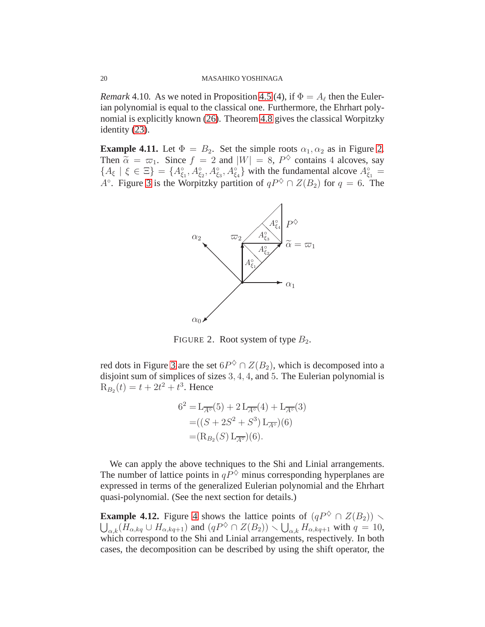<span id="page-19-0"></span>*Remark* 4.10. As we noted in Proposition 4.5 (4), if  $\Phi = A_{\ell}$  then the Eulerian polynomial is equal to the classical one. Furthermore, the Ehrhart polynomial is explicitly known [\(26\)](#page-12-1). Theorem [4.8](#page-18-2) gives the classical Worpitzky identity [\(23\)](#page-11-4).

<span id="page-19-1"></span>**Example 4.11.** Let  $\Phi = B_2$ . Set the simple roots  $\alpha_1, \alpha_2$  as in Figure [2.](#page-19-2) Then  $\tilde{\alpha} = \varpi_1$ . Since  $f = 2$  and  $|W| = 8$ ,  $P^{\lozenge}$  contains 4 alcoves, say  ${A_{\xi} | \xi \in \Xi} = {A_{\xi_1}^{\circ}, A_{\xi_2}^{\circ}, A_{\xi_3}^{\circ}, A_{\xi_4}^{\circ} }$  with the fundamental alcove  $A_{\xi_1}^{\circ} =$ A<sup>o</sup>. Figure [3](#page-20-3) is the Worpitzky partition of  $qP^{\diamondsuit} \cap Z(B_2)$  for  $q = 6$ . The



<span id="page-19-2"></span>FIGURE 2. Root system of type  $B_2$ .

red dots in Figure [3](#page-20-3) are the set  $6P^{\diamondsuit} \cap Z(B_2)$ , which is decomposed into a disjoint sum of simplices of sizes 3, 4, 4, and 5. The Eulerian polynomial is  $R_{B_2}(t) = t + 2t^2 + t^3$ . Hence

$$
6^{2} = L_{\overline{A^{\circ}}}(5) + 2 L_{\overline{A^{\circ}}}(4) + L_{\overline{A^{\circ}}}(3)
$$
  
= ((S + 2S^{2} + S^{3}) L\_{\overline{A^{\circ}}})(6)  
= (R\_{B\_{2}}(S) L\_{\overline{A^{\circ}}})(6).

We can apply the above techniques to the Shi and Linial arrangements. The number of lattice points in  $q\overrightarrow{P}$  minus corresponding hyperplanes are expressed in terms of the generalized Eulerian polynomial and the Ehrhart quasi-polynomial. (See the next section for details.)

**Example [4](#page-21-0).12.** Figure 4 shows the lattice points of  $(qP^{\diamond} \cap Z(B_2)) \setminus$  $\bigcup_{\alpha,k} (\overline{H}_{\alpha,kq} \cup H_{\alpha,kq+1})$  and  $(qP^{\diamondsuit} \cap Z(B_2)) \setminus \bigcup_{\alpha,k} H_{\alpha,kq+1}$  with  $q = 10$ , which correspond to the Shi and Linial arrangements, respectively. In both cases, the decomposition can be described by using the shift operator, the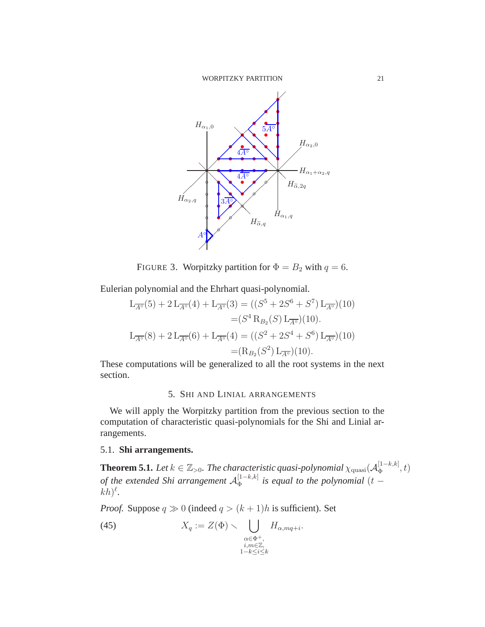

<span id="page-20-3"></span>FIGURE 3. Worpitzky partition for  $\Phi = B_2$  with  $q = 6$ .

Eulerian polynomial and the Ehrhart quasi-polynomial.

$$
L_{\overline{A^{\circ}}}(5) + 2 L_{\overline{A^{\circ}}}(4) + L_{\overline{A^{\circ}}}(3) = ((S^{5} + 2S^{6} + S^{7}) L_{\overline{A^{\circ}}})(10)
$$
  

$$
= (S^{4} R_{B_{2}}(S) L_{\overline{A^{\circ}}})(10).
$$
  

$$
L_{\overline{A^{\circ}}}(8) + 2 L_{\overline{A^{\circ}}}(6) + L_{\overline{A^{\circ}}}(4) = ((S^{2} + 2S^{4} + S^{6}) L_{\overline{A^{\circ}}})(10)
$$
  

$$
= (R_{B_{2}}(S^{2}) L_{\overline{A^{\circ}}})(10).
$$

<span id="page-20-0"></span>These computations will be generalized to all the root systems in the next section.

# 5. SHI AND LINIAL ARRANGEMENTS

We will apply the Worpitzky partition from the previous section to the computation of characteristic quasi-polynomials for the Shi and Linial arrangements.

# <span id="page-20-1"></span>5.1. **Shi arrangements.**

<span id="page-20-2"></span>**Theorem 5.1.** Let  $k \in \mathbb{Z}_{>0}$ . The characteristic quasi-polynomial  $\chi_{\text{quasi}}(\mathcal{A}_{\Phi}^{[1-k,k]})$  $\Phi^{[1-\kappa,\kappa]},t)$ of the extended Shi arrangement  $\mathcal{A}_{\Phi}^{[1-k,k]}$  $\Phi_{\Phi}^{[1-\kappa,\kappa]}$  is equal to the polynomial  $(t-\kappa)$  $(h)^{\ell}$ .

*Proof.* Suppose  $q \gg 0$  (indeed  $q > (k+1)h$  is sufficient). Set

(45) 
$$
X_q := Z(\Phi) \setminus \bigcup_{\substack{\alpha \in \Phi^+, \\ i, m \in \mathbb{Z}, \\ 1 - k \le i \le k}} H_{\alpha, mq + i}.
$$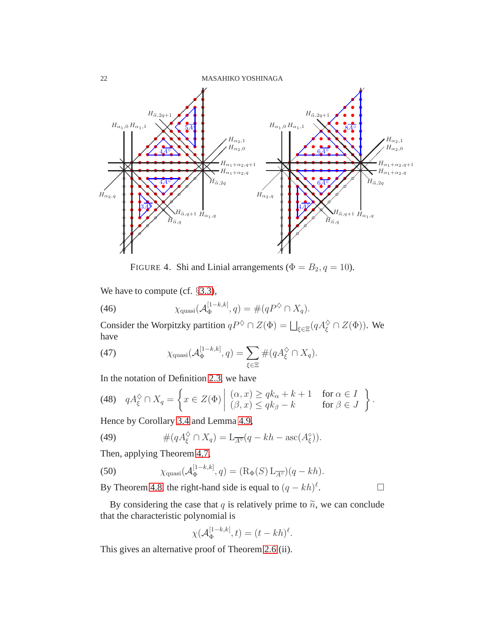22 MASAHIKO YOSHINAGA



<span id="page-21-0"></span>FIGURE 4. Shi and Linial arrangements ( $\Phi = B_2$ ,  $q = 10$ ).

We have to compute (cf.  $\S 3.3$ ),

(46) 
$$
\chi_{\text{quasi}}(\mathcal{A}_{\Phi}^{[1-k,k]},q) = \#(qP^{\diamondsuit} \cap X_q).
$$

Consider the Worpitzky partition  $qP^{\diamondsuit} \cap Z(\Phi) = \bigsqcup_{\xi \in \Xi} (qA_{\xi}^{\diamondsuit} \cap Z(\Phi))$ . We have

(47) 
$$
\chi_{\text{quasi}}(\mathcal{A}_{\Phi}^{[1-k,k]},q) = \sum_{\xi \in \Xi} \#(qA_{\xi}^{\diamondsuit} \cap X_q).
$$

In the notation of Definition [2.3,](#page-7-1) we have

(48) 
$$
qA_{\xi}^{\diamondsuit} \cap X_q = \left\{ x \in Z(\Phi) \middle| \begin{array}{l} (\alpha, x) \geq qk_{\alpha} + k + 1 & \text{for } \alpha \in I \\ (\beta, x) \leq qk_{\beta} - k & \text{for } \beta \in J \end{array} \right\}.
$$

Hence by Corollary [3.4](#page-14-4) and Lemma [4.9,](#page-18-1)

(49) 
$$
\#(qA_{\xi}^{\diamond}\cap X_q)=L_{\overline{A^{\circ}}}(q-kh-\mathrm{asc}(A_{\xi}^{\circ})).
$$

Then, applying Theorem [4.7,](#page-17-1)

(50) 
$$
\chi_{\text{quasi}}(\mathcal{A}_{\Phi}^{[1-k,k]},q) = (\mathrm{R}_{\Phi}(S) \mathrm{L}_{\overline{A^{\circ}}})(q - kh).
$$

By Theorem [4.8,](#page-18-2) the right-hand side is equal to  $(q - kh)^{\ell}$ . В проста в проста в села в села в села в села в села в села в села в села в села в села в села в села в села<br>В села в села в села в села в села в села в села в села в села в села в села в села в села в села в села в сел

By considering the case that q is relatively prime to  $\tilde{n}$ , we can conclude that the characteristic polynomial is

$$
\chi(\mathcal{A}_{\Phi}^{[1-k,k]},t)=(t-kh)^{\ell}.
$$

This gives an alternative proof of Theorem 2.6 (ii).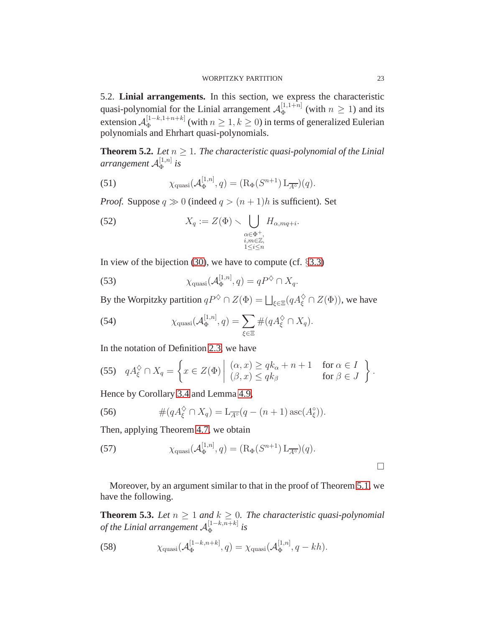#### WORPITZKY PARTITION 23

<span id="page-22-0"></span>5.2. **Linial arrangements.** In this section, we express the characteristic quasi-polynomial for the Linial arrangement  $\mathcal{A}_{\Phi}^{[1,1+n]}$  $\Phi_{\Phi}^{[1,1+n]}$  (with  $n \geq 1$ ) and its extension  $\mathcal{A}_{\Phi}^{[1-k,1+n+k]}$  $\sum_{\Phi}^{[1-\kappa,1+n+\kappa]}$  (with  $n \geq 1, k \geq 0$ ) in terms of generalized Eulerian polynomials and Ehrhart quasi-polynomials.

<span id="page-22-2"></span>**Theorem 5.2.** *Let*  $n \geq 1$ *. The characteristic quasi-polynomial of the Linial* arrangement  ${\cal A}_{\Phi}^{[1,n]}$  $\int_{\Phi}^{\lfloor 1,n\rfloor}$  is

(51) 
$$
\chi_{\text{quasi}}(\mathcal{A}_{\Phi}^{[1,n]},q) = (\mathrm{R}_{\Phi}(S^{n+1}) \mathrm{L}_{\overline{A^{\circ}}})(q).
$$

*Proof.* Suppose  $q \gg 0$  (indeed  $q > (n+1)h$  is sufficient). Set

(52) 
$$
X_q := Z(\Phi) \setminus \bigcup_{\substack{\alpha \in \Phi^+, \\ i, m \in \mathbb{Z}, \\ 1 \le i \le n}} H_{\alpha, mq + i}.
$$

In view of the bijection [\(30\)](#page-14-5), we have to compute (cf.  $\S 3.3$ )

(53) 
$$
\chi_{\text{quasi}}(\mathcal{A}_{\Phi}^{[1,n]},q) = qP^{\diamondsuit} \cap X_q.
$$

By the Worpitzky partition  $qP^{\diamondsuit} \cap Z(\Phi) = \bigsqcup_{\xi \in \Xi} (qA_{\xi}^{\diamondsuit} \cap Z(\Phi))$ , we have

(54) 
$$
\chi_{\text{quasi}}(\mathcal{A}_{\Phi}^{[1,n]},q) = \sum_{\xi \in \Xi} \#(qA_{\xi}^{\diamondsuit} \cap X_q).
$$

In the notation of Definition [2.3,](#page-7-1) we have

(55) 
$$
qA_{\xi}^{\diamondsuit} \cap X_q = \left\{ x \in Z(\Phi) \middle| \begin{array}{l} (\alpha, x) \geq qk_{\alpha} + n + 1 & \text{for } \alpha \in I \\ (\beta, x) \leq qk_{\beta} & \text{for } \beta \in J \end{array} \right\}.
$$

Hence by Corollary [3.4](#page-14-4) and Lemma [4.9,](#page-18-1)

(56) 
$$
\#(qA_{\xi}^{\Diamond} \cap X_q) = L_{\overline{A^{\circ}}}(q - (n+1) \csc(A_{\xi}^{\circ})).
$$

Then, applying Theorem [4.7,](#page-17-1) we obtain

(57) 
$$
\chi_{\text{quasi}}(\mathcal{A}_{\Phi}^{[1,n]},q) = (\mathrm{R}_{\Phi}(S^{n+1}) \mathrm{L}_{\overline{A^{\circ}}})(q).
$$

Moreover, by an argument similar to that in the proof of Theorem [5.1,](#page-20-2) we have the following.

<span id="page-22-1"></span>**Theorem 5.3.** *Let*  $n \geq 1$  *and*  $k \geq 0$ *. The characteristic quasi-polynomial* of the Linial arrangement  ${\cal A}_{\Phi}^{[1-k,n+k]}$  $\int_{\Phi}^{\lfloor 1-\kappa,n+\kappa\rfloor}$  is

(58) 
$$
\chi_{\text{quasi}}(\mathcal{A}_{\Phi}^{[1-k,n+k]},q) = \chi_{\text{quasi}}(\mathcal{A}_{\Phi}^{[1,n]},q-kh).
$$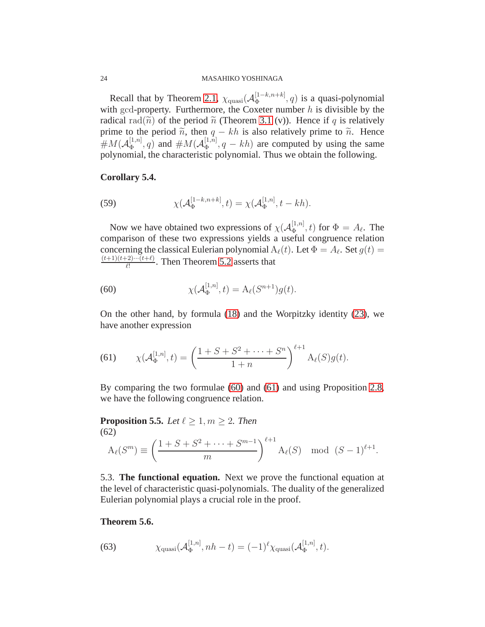Recall that by Theorem [2.1,](#page-5-3)  $\chi_{\text{quasi}}(\mathcal{A}_{\Phi}^{[1-k,n+k]})$  $\Phi_{\Phi}^{[1-\kappa,n+\kappa]}$ , *q*) is a quasi-polynomial with gcd-property. Furthermore, the Coxeter number  $h$  is divisible by the radical rad( $\tilde{n}$ ) of the period  $\tilde{n}$  (Theorem [3.1](#page-11-6) (v)). Hence if q is relatively prime to the period  $\tilde{n}$ , then  $q - kh$  is also relatively prime to  $\tilde{n}$ . Hence  $\#M(\mathcal{A}_{\Phi}^{[1,n]})$  $\mathcal{A}_{\Phi}^{[1,n]}(q)$  and  $\#M(\mathcal{A}_{\Phi}^{[1,n]})$  $\Phi_{\Phi}^{[1,n]}$ ,  $q - kh$ ) are computed by using the same polynomial, the characteristic polynomial. Thus we obtain the following.

### <span id="page-23-1"></span>**Corollary 5.4.**

(59) 
$$
\chi(\mathcal{A}_{\Phi}^{[1-k,n+k]},t) = \chi(\mathcal{A}_{\Phi}^{[1,n]},t-kh).
$$

Now we have obtained two expressions of  $\chi(A_{\Phi}^{[1,n]})$  $(\frac{1}{\Phi}, t)$  for  $\Phi = A_{\ell}$ . The comparison of these two expressions yields a useful congruence relation concerning the classical Eulerian polynomial  $A_{\ell}(t)$ . Let  $\Phi = A_{\ell}$ . Set  $g(t) =$  $(t+1)(t+2)\cdots(t+\ell)$  $\frac{L^2}{\ell!}$ . Then Theorem [5.2](#page-22-2) asserts that

<span id="page-23-3"></span>(60) 
$$
\chi(\mathcal{A}_{\Phi}^{[1,n]},t) = A_{\ell}(S^{n+1})g(t).
$$

On the other hand, by formula [\(18\)](#page-9-1) and the Worpitzky identity [\(23\)](#page-11-4), we have another expression

<span id="page-23-4"></span>(61) 
$$
\chi(\mathcal{A}_{\Phi}^{[1,n]},t) = \left(\frac{1+S+S^2+\cdots+S^n}{1+n}\right)^{\ell+1} A_{\ell}(S)g(t).
$$

By comparing the two formulae [\(60\)](#page-23-3) and [\(61\)](#page-23-4) and using Proposition [2.8,](#page-8-4) we have the following congruence relation.

<span id="page-23-5"></span>**Proposition 5.5.** *Let*  $\ell \geq 1, m \geq 2$ *. Then* (62)  $A_{\ell}(S^m) \equiv$  $(1 + S + S^2 + \cdots + S^{m-1})$ m  $\setminus^{\ell+1}$  $A_{\ell}(S) \mod (S-1)^{\ell+1}.$ 

<span id="page-23-0"></span>5.3. **The functional equation.** Next we prove the functional equation at the level of characteristic quasi-polynomials. The duality of the generalized Eulerian polynomial plays a crucial role in the proof.

# <span id="page-23-2"></span>**Theorem 5.6.**

(63) 
$$
\chi_{\text{quasi}}(\mathcal{A}_{\Phi}^{[1,n]}, nh-t) = (-1)^{\ell} \chi_{\text{quasi}}(\mathcal{A}_{\Phi}^{[1,n]}, t).
$$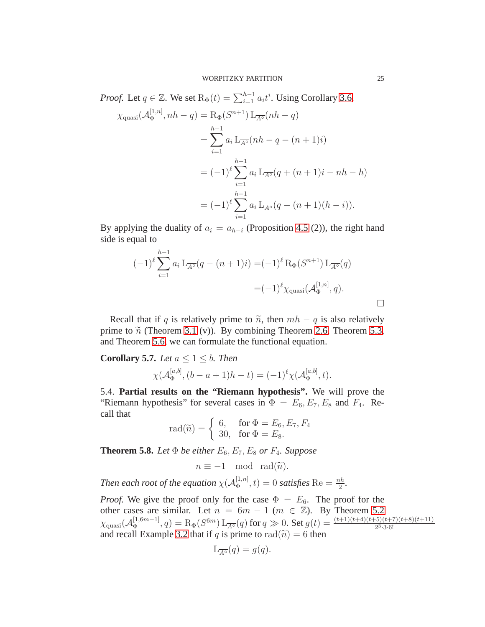*Proof.* Let  $q \in \mathbb{Z}$ . We set  $\mathrm{R}_{\Phi}(t) = \sum_{i=1}^{h-1} a_i t^i$ . Using Corollary [3.6,](#page-14-2)

$$
\chi_{\text{quasi}}(\mathcal{A}_{\Phi}^{[1,n]}, nh - q) = \mathcal{R}_{\Phi}(S^{n+1}) \mathcal{L}_{\overline{A^{\circ}}}(nh - q)
$$
  
= 
$$
\sum_{i=1}^{h-1} a_i \mathcal{L}_{\overline{A^{\circ}}}(nh - q - (n+1)i)
$$
  
= 
$$
(-1)^{\ell} \sum_{i=1}^{h-1} a_i \mathcal{L}_{\overline{A^{\circ}}}(q + (n+1)i - nh - h)
$$
  
= 
$$
(-1)^{\ell} \sum_{i=1}^{h-1} a_i \mathcal{L}_{\overline{A^{\circ}}}(q - (n+1)(h - i)).
$$

By applying the duality of  $a_i = a_{h-i}$  (Proposition 4.5 (2)), the right hand side is equal to

$$
(-1)^{\ell} \sum_{i=1}^{h-1} a_i L_{\overline{A^{\circ}}} (q - (n+1)i) = (-1)^{\ell} R_{\Phi}(S^{n+1}) L_{\overline{A^{\circ}}} (q)
$$

$$
= (-1)^{\ell} \chi_{\text{quasi}}(\mathcal{A}_{\Phi}^{[1,n]}, q).
$$

Recall that if q is relatively prime to  $\tilde{n}$ , then  $mh - q$  is also relatively prime to  $\tilde{n}$  (Theorem [3.1](#page-11-6) (v)). By combining Theorem 2.6, Theorem [5.3,](#page-22-1) and Theorem [5.6,](#page-23-2) we can formulate the functional equation.

<span id="page-24-1"></span>**Corollary 5.7.** *Let*  $a \leq 1 \leq b$ *. Then* 

$$
\chi(\mathcal{A}_{\Phi}^{[a,b]},(b-a+1)h-t) = (-1)^{\ell} \chi(\mathcal{A}_{\Phi}^{[a,b]},t).
$$

<span id="page-24-0"></span>5.4. **Partial results on the "Riemann hypothesis".** We will prove the "Riemann hypothesis" for several cases in  $\Phi = E_6, E_7, E_8$  and  $F_4$ . Recall that

$$
\text{rad}(\widetilde{n}) = \begin{cases} 6, & \text{for } \Phi = E_6, E_7, F_4 \\ 30, & \text{for } \Phi = E_8. \end{cases}
$$

<span id="page-24-2"></span>**Theorem 5.8.** *Let*  $\Phi$  *be either*  $E_6$ ,  $E_7$ ,  $E_8$  *or*  $F_4$ *. Suppose* 

$$
n \equiv -1 \mod \operatorname{rad}(\widetilde{n}).
$$

*Then each root of the equation*  $\chi(A_{\Phi}^{[1,n]})$  $\Phi_{\Phi}^{[1,n]}(t) = 0$  *satisfies* Re  $= \frac{nh}{2}$ .

*Proof.* We give the proof only for the case  $\Phi = E_6$ . The proof for the other cases are similar. Let  $n = 6m - 1$  ( $m \in \mathbb{Z}$ ). By Theorem [5.2](#page-22-2)  $\chi_{\rm quasi}({\cal A}_\Phi^{[1,6m-1]}$  $\Phi_{\Phi}^{[1,6m-1]}, q) = \mathrm{R}_{\Phi}(S^{6m}) \, \mathrm{L}_{\overline{A^{\circ}}}(q)$  for  $q \gg 0$ . Set  $g(t) = \frac{(t+1)(t+4)(t+5)(t+7)(t+8)(t+11)}{2^3 \cdot 3 \cdot 6!}$ and recall Example 3.2 that if q is prime to rad $(\tilde{n}) = 6$  then

$$
\mathcal{L}_{\overline{A^\circ}}(q) = g(q).
$$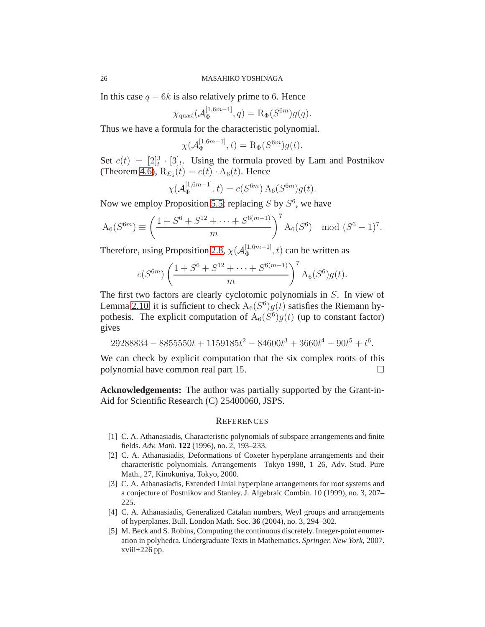In this case  $q - 6k$  is also relatively prime to 6. Hence

$$
\chi_{\text{quasi}}(\mathcal{A}_{\Phi}^{[1,6m-1]},q) = \mathrm{R}_{\Phi}(S^{6m})g(q).
$$

Thus we have a formula for the characteristic polynomial.

$$
\chi(\mathcal{A}_{\Phi}^{[1,6m-1]},t) = \mathrm{R}_{\Phi}(S^{6m})g(t).
$$

Set  $c(t) = [2]_t^3 \cdot [3]_t$ . Using the formula proved by Lam and Postnikov (Theorem [4.6\)](#page-17-3),  $R_{E_6}(t) = c(t) \cdot A_6(t)$ . Hence

$$
\chi(\mathcal{A}_{\Phi}^{[1,6m-1]},t) = c(S^{6m}) A_6(S^{6m})g(t).
$$

Now we employ Proposition [5.5;](#page-23-5) replacing  $S$  by  $S^6$ , we have

$$
A_6(S^{6m}) \equiv \left(\frac{1 + S^6 + S^{12} + \dots + S^{6(m-1)}}{m}\right)^7 A_6(S^6) \mod (S^6 - 1)^7.
$$

Therefore, using Proposition [2.8,](#page-8-4)  $\chi(\mathcal{A}_{\Phi}^{[1,6m-1]}$  $\Phi_{\Phi}^{[1, 0m-1]}$ , t) can be written as

$$
c(S^{6m})\left(\frac{1+S^6+S^{12}+\cdots+S^{6(m-1)}}{m}\right)^7\mathcal{A}_6(S^6)g(t).
$$

The first two factors are clearly cyclotomic polynomials in S. In view of Lemma [2.10,](#page-9-2) it is sufficient to check  $A_6(S^6)g(t)$  satisfies the Riemann hypothesis. The explicit computation of  $A_6(S^6)g(t)$  (up to constant factor) gives

$$
29288834 - 8855550t + 1159185t^2 - 84600t^3 + 3660t^4 - 90t^5 + t^6.
$$

We can check by explicit computation that the six complex roots of this polynomial have common real part 15.

**Acknowledgements:** The author was partially supported by the Grant-in-Aid for Scientific Research (C) 25400060, JSPS.

#### <span id="page-25-0"></span>**REFERENCES**

- <span id="page-25-2"></span>[1] C. A. Athanasiadis, Characteristic polynomials of subspace arrangements and finite fields. *Adv. Math.* **122** (1996), no. 2, 193–233.
- <span id="page-25-1"></span>[2] C. A. Athanasiadis, Deformations of Coxeter hyperplane arrangements and their characteristic polynomials. Arrangements—Tokyo 1998, 1–26, Adv. Stud. Pure Math., 27, Kinokuniya, Tokyo, 2000.
- <span id="page-25-4"></span>[3] C. A. Athanasiadis, Extended Linial hyperplane arrangements for root systems and a conjecture of Postnikov and Stanley. J. Algebraic Combin. 10 (1999), no. 3, 207– 225.
- <span id="page-25-3"></span>[4] C. A. Athanasiadis, Generalized Catalan numbers, Weyl groups and arrangements of hyperplanes. Bull. London Math. Soc. **36** (2004), no. 3, 294–302.
- <span id="page-25-5"></span>[5] M. Beck and S. Robins, Computing the continuous discretely. Integer-point enumeration in polyhedra. Undergraduate Texts in Mathematics. *Springer, New York,* 2007. xviii+226 pp.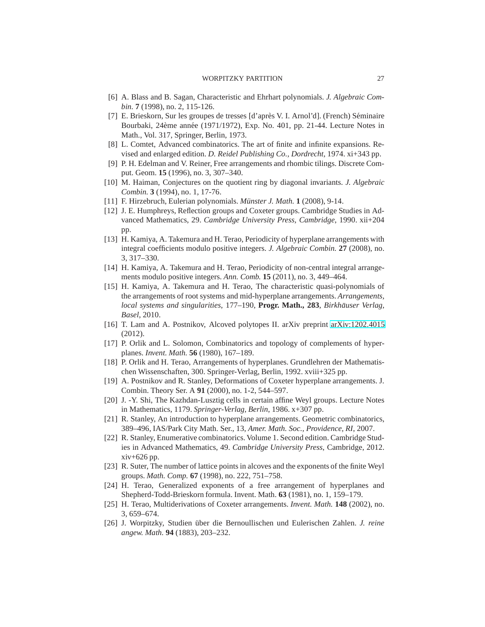#### WORPITZKY PARTITION 27

- <span id="page-26-7"></span><span id="page-26-3"></span>[6] A. Blass and B. Sagan, Characteristic and Ehrhart polynomials. *J. Algebraic Combin.* **7** (1998), no. 2, 115-126.
- [7] E. Brieskorn, Sur les groupes de tresses [d'après V. I. Arnol'd]. (French) Séminaire Bourbaki, 24ème année (1971/1972), Exp. No. 401, pp. 21-44. Lecture Notes in Math., Vol. 317, Springer, Berlin, 1973.
- <span id="page-26-10"></span><span id="page-26-4"></span>[8] L. Comtet, Advanced combinatorics. The art of finite and infinite expansions. Revised and enlarged edition. *D. Reidel Publishing Co., Dordrecht*, 1974. xi+343 pp.
- [9] P. H. Edelman and V. Reiner, Free arrangements and rhombic tilings. Discrete Comput. Geom. **15** (1996), no. 3, 307–340.
- <span id="page-26-20"></span><span id="page-26-17"></span>[10] M. Haiman, Conjectures on the quotient ring by diagonal invariants. *J. Algebraic Combin.* **3** (1994), no. 1, 17-76.
- <span id="page-26-14"></span>[11] F. Hirzebruch, Eulerian polynomials. *Münster J. Math.* **1** (2008), 9-14.
- [12] J. E. Humphreys, Reflection groups and Coxeter groups. Cambridge Studies in Advanced Mathematics, 29. *Cambridge University Press, Cambridge*, 1990. xii+204 pp.
- <span id="page-26-11"></span>[13] H. Kamiya, A. Takemura and H. Terao, Periodicity of hyperplane arrangements with integral coefficients modulo positive integers. *J. Algebraic Combin.* **27** (2008), no. 3, 317–330.
- <span id="page-26-12"></span><span id="page-26-6"></span>[14] H. Kamiya, A. Takemura and H. Terao, Periodicity of non-central integral arrangements modulo positive integers. *Ann. Comb.* **15** (2011), no. 3, 449–464.
- [15] H. Kamiya, A. Takemura and H. Terao, The characteristic quasi-polynomials of the arrangements of root systems and mid-hyperplane arrangements. *Arrangements, local systems and singularities*, 177–190, **Progr. Math., 283**, *Birkhauser Verlag, ¨ Basel*, 2010.
- <span id="page-26-8"></span>[16] T. Lam and A. Postnikov, Alcoved polytopes II. arXiv preprint [arXiv:1202.4015](http://arxiv.org/abs/1202.4015) (2012).
- <span id="page-26-0"></span>[17] P. Orlik and L. Solomon, Combinatorics and topology of complements of hyperplanes. *Invent. Math.* **56** (1980), 167–189.
- <span id="page-26-13"></span>[18] P. Orlik and H. Terao, Arrangements of hyperplanes. Grundlehren der Mathematischen Wissenschaften, 300. Springer-Verlag, Berlin, 1992. xviii+325 pp.
- <span id="page-26-5"></span>[19] A. Postnikov and R. Stanley, Deformations of Coxeter hyperplane arrangements. J. Combin. Theory Ser. A **91** (2000), no. 1-2, 544–597.
- <span id="page-26-1"></span>[20] J. -Y. Shi, The Kazhdan-Lusztig cells in certain affine Weyl groups. Lecture Notes in Mathematics, 1179. *Springer-Verlag, Berlin*, 1986. x+307 pp.
- <span id="page-26-2"></span>[21] R. Stanley, An introduction to hyperplane arrangements. Geometric combinatorics, 389–496, IAS/Park City Math. Ser., 13, *Amer. Math. Soc., Providence, RI*, 2007.
- <span id="page-26-18"></span>[22] R. Stanley, Enumerative combinatorics. Volume 1. Second edition. Cambridge Studies in Advanced Mathematics, 49. *Cambridge University Press*, Cambridge, 2012. xiv+626 pp.
- <span id="page-26-19"></span>[23] R. Suter, The number of lattice points in alcoves and the exponents of the finite Weyl groups. *Math. Comp.* **67** (1998), no. 222, 751–758.
- <span id="page-26-15"></span>[24] H. Terao, Generalized exponents of a free arrangement of hyperplanes and Shepherd-Todd-Brieskorn formula. Invent. Math. **63** (1981), no. 1, 159–179.
- <span id="page-26-16"></span>[25] H. Terao, Multiderivations of Coxeter arrangements. *Invent. Math.* **148** (2002), no. 3, 659–674.
- <span id="page-26-9"></span>[26] J. Worpitzky, Studien ¨uber die Bernoullischen und Eulerischen Zahlen. *J. reine angew. Math.* **94** (1883), 203–232.